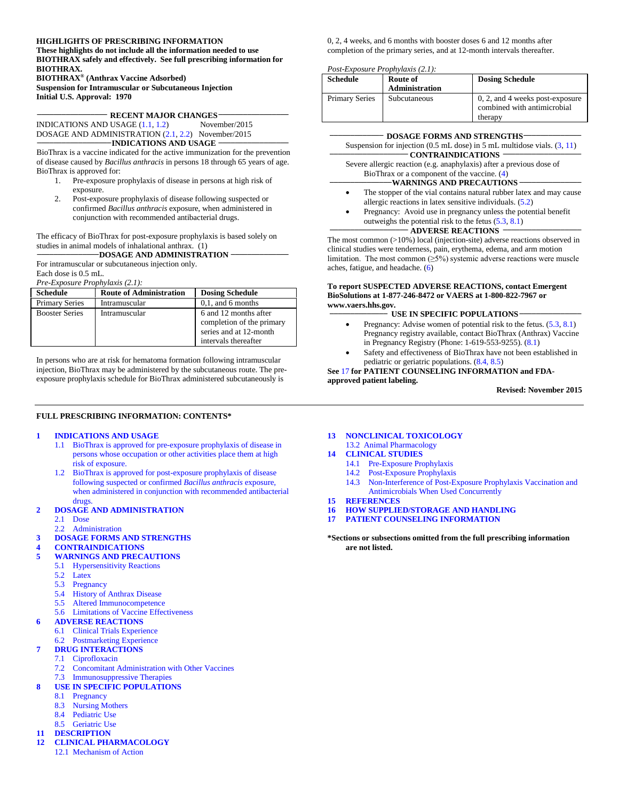#### **HIGHLIGHTS OF PRESCRIBING INFORMATION**

**These highlights do not include all the information needed to use BIOTHRAX safely and effectively. See full prescribing information for BIOTHRAX. BIOTHRAX® (Anthrax Vaccine Adsorbed)**

**Suspension for Intramuscular or Subcutaneous Injection Initial U.S. Approval: 1970**

**\_\_\_\_\_\_\_\_\_\_\_\_\_\_\_\_\_ RECENT MAJOR CHANGES\_\_\_\_\_\_\_\_\_\_\_\_\_\_\_\_\_** INDICATIONS AND USAGE [\(1.1,](#page-1-0) [1.2\)](#page-1-1) November/2015

DOSAGE AND ADMINISTRATION [\(2.1,](#page-1-2) [2.2\)](#page-2-0) November/2015<br> **\_\_\_\_\_\_\_\_\_\_\_\_\_\_\_\_\_\_\_\_INDICATIONS AND USAGE** 

BioThrax is a vaccine indicated for the active immunization for the prevention of disease caused by *Bacillus anthracis* in persons 18 through 65 years of age. BioThrax is approved for:

- 1. Pre-exposure prophylaxis of disease in persons at high risk of exposure.
- 2. Post-exposure prophylaxis of disease following suspected or confirmed *Bacillus anthracis* exposure, when administered in conjunction with recommended antibacterial drugs.

The efficacy of BioThrax for post-exposure prophylaxis is based solely on studies in animal models of inhalational anthrax. (1) **\_\_\_\_\_\_\_\_\_\_\_\_\_\_\_DOSAGE AND ADMINISTRATION \_\_\_\_\_\_\_\_\_\_\_\_\_\_**

For intramuscular or subcutaneous injection only. Each dose is 0.5 mL.

*Pre-Exposure Prophylaxis (2.1):*

| $1.00$ $1.00$ $1.00$ $1.00$ $1.00$ $1.00$ $1.00$ $1.00$ $1.00$ $1.00$ $1.00$ $1.00$ $1.00$ $1.00$ $1.00$ $1.00$ $1.00$ $1.00$ $1.00$ $1.00$ $1.00$ $1.00$ $1.00$ $1.00$ $1.00$ $1.00$ $1.00$ $1.00$ $1.00$ $1.00$ $1.00$ $1.0$ |                                |                                                                                                      |
|--------------------------------------------------------------------------------------------------------------------------------------------------------------------------------------------------------------------------------|--------------------------------|------------------------------------------------------------------------------------------------------|
| <b>Schedule</b>                                                                                                                                                                                                                | <b>Route of Administration</b> | <b>Dosing Schedule</b>                                                                               |
| <b>Primary Series</b>                                                                                                                                                                                                          | Intramuscular                  | $0,1$ , and 6 months                                                                                 |
| <b>Booster Series</b>                                                                                                                                                                                                          | Intramuscular                  | 6 and 12 months after<br>completion of the primary<br>series and at 12-month<br>intervals thereafter |

In persons who are at risk for hematoma formation following intramuscular injection, BioThrax may be administered by the subcutaneous route. The preexposure prophylaxis schedule for BioThrax administered subcutaneously is

#### **FULL PRESCRIBING INFORMATION: CONTENTS\***

#### **1 INDICATIONS AND USAGE**

- 1.1 BioThrax is approved for pre-exposure prophylaxis of disease in persons whose occupation or other activities place them at high risk of exposure.
- 1.2 BioThrax is approved for post-exposure prophylaxis of disease following suspected or confirmed *Bacillus anthracis* exposure, when administered in conjunction with recommended antibacterial drugs.

#### **2 DOSAGE AND ADMINISTRATION**

- 2.1 Dose
- 2.2 Administration

#### **3 DOSAGE FORMS AND STRENGTHS**

**4 CONTRAINDICATIONS**

- **5 WARNINGS AND PRECAUTIONS**
	- 5.1 Hypersensitivity Reactions
	- 5.2 Latex
	- 5.3 Pregnancy
	- 5.4 History of Anthrax Disease
	- 5.5 Altered Immunocompetence
	- 5.6 Limitations of Vaccine Effectiveness

#### **6 ADVERSE REACTIONS**

- 6.1 Clinical Trials Experience
	- 6.2 Postmarketing Experience
	- **7 DRUG INTERACTIONS**
- 7.1 Ciprofloxacin
	- 7.2 Concomitant Administration with Other Vaccines
- 7.3 Immunosuppressive Therapies

#### **8 USE IN SPECIFIC POPULATIONS**

- 8.1 Pregnancy
	- 8.3 Nursing Mothers
	- 8.4 Pediatric Use
	- 8.5 Geriatric Use
- **11 DESCRIPTION**
- **12 CLINICAL PHARMACOLOGY** 12.1 Mechanism of Action

0, 2, 4 weeks, and 6 months with booster doses 6 and 12 months after completion of the primary series, and at 12-month intervals thereafter.

#### *Post-Exposure Prophylaxis (2.1):*

| <b>Schedule</b>       | Route of<br><b>Administration</b> | <b>Dosing Schedule</b>                                                    |
|-----------------------|-----------------------------------|---------------------------------------------------------------------------|
| <b>Primary Series</b> | Subcutaneous                      | 0, 2, and 4 weeks post-exposure<br>combined with antimicrobial<br>therapy |

| <b>DOSAGE FORMS AND STRENGTHS-</b>                                                  |  |
|-------------------------------------------------------------------------------------|--|
| Suspension for injection $(0.5 \text{ mL dose})$ in 5 mL multidose vials. $(3, 11)$ |  |
| <b>CONTRAINDICATIONS</b>                                                            |  |
| Severe allergic reaction (e.g. anaphylaxis) after a previous dose of                |  |
| BioThrax or a component of the vaccine. $(4)$                                       |  |
| <b>WARNINGS AND PRECAUTIONS -</b>                                                   |  |
| The stopper of the vial contains natural rubber latex and may cause<br>$\bullet$    |  |
| allergic reactions in latex sensitive individuals. $(5.2)$                          |  |

Pregnancy: Avoid use in pregnancy unless the potential benefit outweighs the potential risk to the fetus [\(5.3,](#page-3-1) [8.1\)](#page-12-1)<br> **ADVERSE REACTIONS** 

The most common (>10%) local (injection-site) adverse reactions observed in clinical studies were tenderness, pain, erythema, edema, and arm motion limitation. The most common  $(\geq 5\%)$  systemic adverse reactions were muscle aches, fatigue, and headache.  $(6)$ 

#### **To report SUSPECTED ADVERSE REACTIONS, contact Emergent BioSolutions at 1-877-246-8472 or VAERS at 1-800-822-7967 or www.vaers.hhs.gov.**

#### **\_\_\_\_\_\_\_\_\_\_\_\_\_\_ USE IN SPECIFIC POPULATIONS \_\_\_\_\_\_\_\_\_\_\_\_\_\_\_**

- Pregnancy: Advise women of potential risk to the fetus.  $(5.3, 8.1)$  $(5.3, 8.1)$ Pregnancy registry available, contact BioThrax (Anthrax) Vaccine in Pregnancy Registry (Phone: 1-619-553-9255). [\(8.1\)](#page-12-1)
- Safety and effectiveness of BioThrax have not been established in pediatric or geriatric populations. [\(8.4,](#page-12-2) [8.5\)](#page-12-3)

#### **See** [17](#page-21-0) **for PATIENT COUNSELING INFORMATION and FDAapproved patient labeling.**

**Revised: November 2015**

**13 NONCLINICAL TOXICOLOGY** 13.2 Animal Pharmacology

#### **14 CLINICAL STUDIES**

- 14.1 Pre-Exposure Prophylaxis
	- 14.2 Post-Exposure Prophylaxis
	- 14.3 Non-Interference of Post-Exposure Prophylaxis Vaccination and
	- Antimicrobials When Used Concurrently
- **15 REFERENCES**
- **16 HOW SUPPLIED/STORAGE AND HANDLING**
- **17 PATIENT COUNSELING INFORMATION**

**\*Sections or subsections omitted from the full prescribing information are not listed.**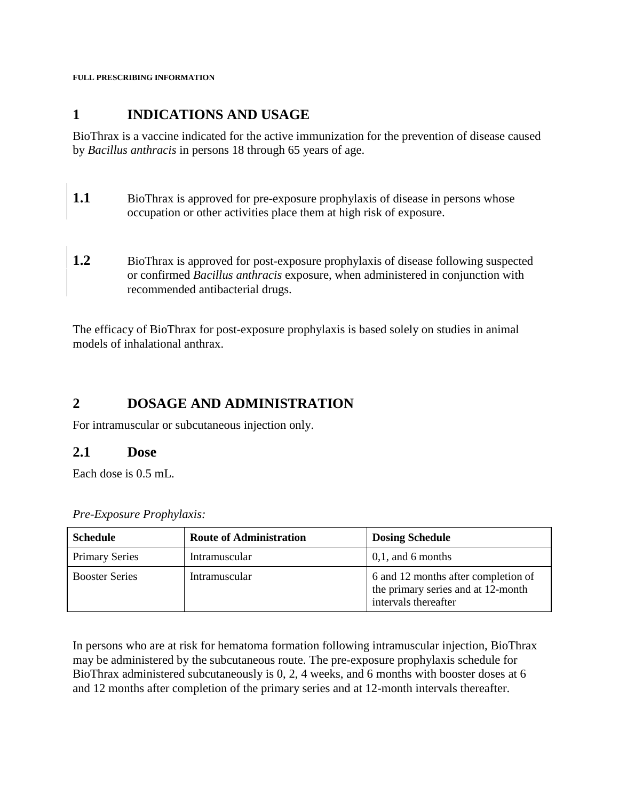**FULL PRESCRIBING INFORMATION**

## **1 INDICATIONS AND USAGE**

BioThrax is a vaccine indicated for the active immunization for the prevention of disease caused by *Bacillus anthracis* in persons 18 through 65 years of age.

- <span id="page-1-0"></span>**1.1** BioThrax is approved for pre-exposure prophylaxis of disease in persons whose occupation or other activities place them at high risk of exposure.
- <span id="page-1-1"></span>**1.2** BioThrax is approved for post-exposure prophylaxis of disease following suspected or confirmed *Bacillus anthracis* exposure, when administered in conjunction with recommended antibacterial drugs.

The efficacy of BioThrax for post-exposure prophylaxis is based solely on studies in animal models of inhalational anthrax.

### **2 DOSAGE AND ADMINISTRATION**

For intramuscular or subcutaneous injection only.

#### <span id="page-1-2"></span>**2.1 Dose**

Each dose is 0.5 mL.

*Pre-Exposure Prophylaxis:*

| <b>Schedule</b>       | <b>Route of Administration</b> | <b>Dosing Schedule</b>                                                                            |
|-----------------------|--------------------------------|---------------------------------------------------------------------------------------------------|
| <b>Primary Series</b> | Intramuscular                  | $0,1$ , and 6 months                                                                              |
| <b>Booster Series</b> | Intramuscular                  | 6 and 12 months after completion of<br>the primary series and at 12-month<br>intervals thereafter |

In persons who are at risk for hematoma formation following intramuscular injection, BioThrax may be administered by the subcutaneous route. The pre-exposure prophylaxis schedule for BioThrax administered subcutaneously is 0, 2, 4 weeks, and 6 months with booster doses at 6 and 12 months after completion of the primary series and at 12-month intervals thereafter.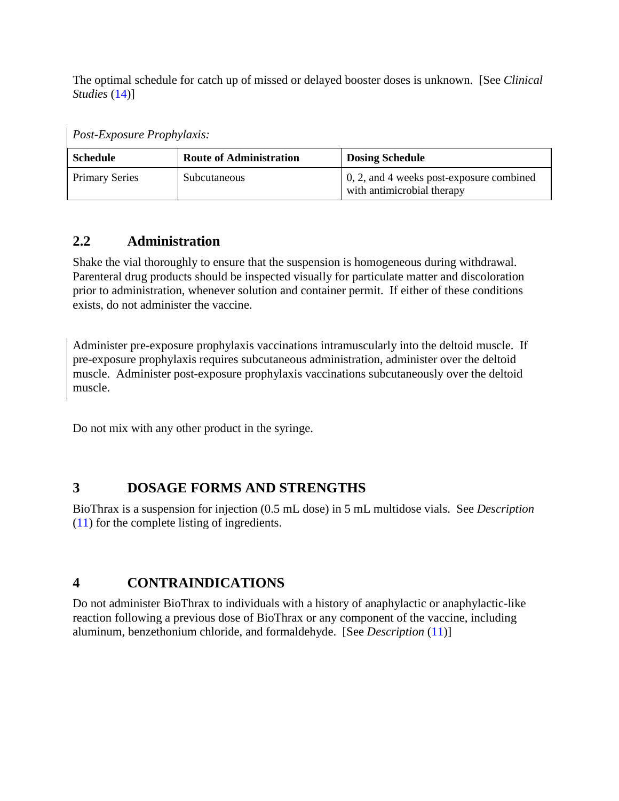The optimal schedule for catch up of missed or delayed booster doses is unknown. [See *Clinical Studies* [\(14\)](#page-14-0)]

*Post-Exposure Prophylaxis:*

| <b>Schedule</b>       | <b>Route of Administration</b> | <b>Dosing Schedule</b>                                                     |
|-----------------------|--------------------------------|----------------------------------------------------------------------------|
| <b>Primary Series</b> | Subcutaneous                   | $\,0, 2,$ and 4 weeks post-exposure combined<br>with antimicrobial therapy |

# <span id="page-2-0"></span>**2.2 Administration**

Shake the vial thoroughly to ensure that the suspension is homogeneous during withdrawal. Parenteral drug products should be inspected visually for particulate matter and discoloration prior to administration, whenever solution and container permit. If either of these conditions exists, do not administer the vaccine.

Administer pre-exposure prophylaxis vaccinations intramuscularly into the deltoid muscle. If pre-exposure prophylaxis requires subcutaneous administration, administer over the deltoid muscle. Administer post-exposure prophylaxis vaccinations subcutaneously over the deltoid muscle.

Do not mix with any other product in the syringe.

# <span id="page-2-1"></span>**3 DOSAGE FORMS AND STRENGTHS**

BioThrax is a suspension for injection (0.5 mL dose) in 5 mL multidose vials. See *Description*  [\(11\)](#page-12-0) for the complete listing of ingredients.

# <span id="page-2-2"></span>**4 CONTRAINDICATIONS**

Do not administer BioThrax to individuals with a history of anaphylactic or anaphylactic-like reaction following a previous dose of BioThrax or any component of the vaccine, including aluminum, benzethonium chloride, and formaldehyde. [See *Description* [\(11\)](#page-12-0)]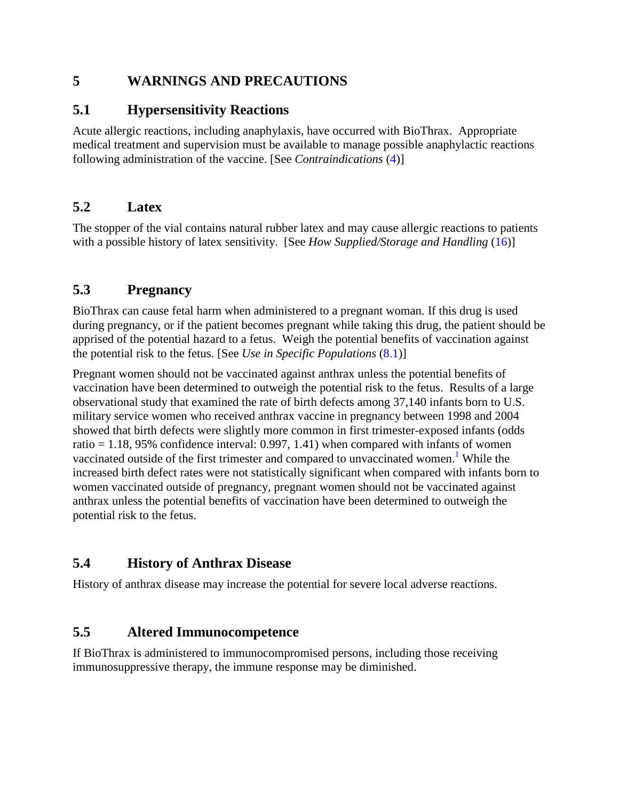### **5 WARNINGS AND PRECAUTIONS**

### **5.1 Hypersensitivity Reactions**

Acute allergic reactions, including anaphylaxis, have occurred with BioThrax. Appropriate medical treatment and supervision must be available to manage possible anaphylactic reactions following administration of the vaccine. [See *Contraindications* [\(4\)](#page-2-2)]

# <span id="page-3-0"></span>**5.2 Latex**

The stopper of the vial contains natural rubber latex and may cause allergic reactions to patients with a possible history of latex sensitivity. [See *How Supplied/Storage and Handling* [\(16\)](#page-20-0)]

# <span id="page-3-1"></span>**5.3 Pregnancy**

BioThrax can cause fetal harm when administered to a pregnant woman. If this drug is used during pregnancy, or if the patient becomes pregnant while taking this drug, the patient should be apprised of the potential hazard to a fetus. Weigh the potential benefits of vaccination against the potential risk to the fetus. [See *Use in Specific Populations* [\(8.1\)](#page-12-1)]

Pregnant women should not be vaccinated against anthrax unless the potential benefits of vaccination have been determined to outweigh the potential risk to the fetus. Results of a large observational study that examined the rate of birth defects among 37,140 infants born to U.S. military service women who received anthrax vaccine in pregnancy between 1998 and 2004 showed that birth defects were slightly more common in first trimester-exposed infants (odds ratio  $= 1.18$ , 95% confidence interval: 0.997, 1.41) when compared with infants of women vaccinated outside of the first trimester and compared to unvaccinated women.<sup>1</sup> While the increased birth defect rates were not statistically significant when compared with infants born to women vaccinated outside of pregnancy, pregnant women should not be vaccinated against anthrax unless the potential benefits of vaccination have been determined to outweigh the potential risk to the fetus.

# **5.4 History of Anthrax Disease**

History of anthrax disease may increase the potential for severe local adverse reactions.

### **5.5 Altered Immunocompetence**

If BioThrax is administered to immunocompromised persons, including those receiving immunosuppressive therapy, the immune response may be diminished.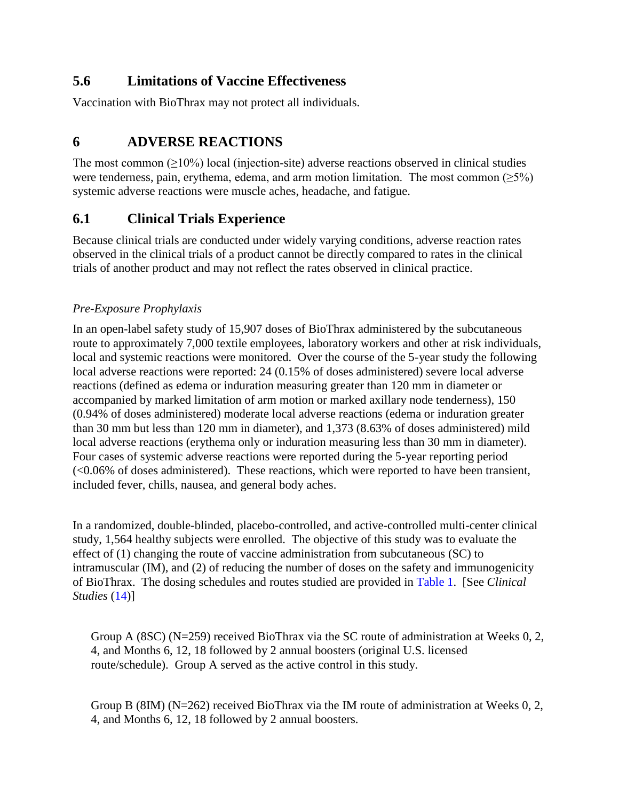## **5.6 Limitations of Vaccine Effectiveness**

Vaccination with BioThrax may not protect all individuals.

## <span id="page-4-0"></span>**6 ADVERSE REACTIONS**

The most common  $(210\%)$  local (injection-site) adverse reactions observed in clinical studies were tenderness, pain, erythema, edema, and arm motion limitation. The most common  $(\geq 5\%)$ systemic adverse reactions were muscle aches, headache, and fatigue.

# **6.1 Clinical Trials Experience**

Because clinical trials are conducted under widely varying conditions, adverse reaction rates observed in the clinical trials of a product cannot be directly compared to rates in the clinical trials of another product and may not reflect the rates observed in clinical practice.

#### *Pre-Exposure Prophylaxis*

In an open-label safety study of 15,907 doses of BioThrax administered by the subcutaneous route to approximately 7,000 textile employees, laboratory workers and other at risk individuals, local and systemic reactions were monitored. Over the course of the 5-year study the following local adverse reactions were reported: 24 (0.15% of doses administered) severe local adverse reactions (defined as edema or induration measuring greater than 120 mm in diameter or accompanied by marked limitation of arm motion or marked axillary node tenderness), 150 (0.94% of doses administered) moderate local adverse reactions (edema or induration greater than 30 mm but less than 120 mm in diameter), and 1,373 (8.63% of doses administered) mild local adverse reactions (erythema only or induration measuring less than 30 mm in diameter). Four cases of systemic adverse reactions were reported during the 5-year reporting period  $\leq 0.06\%$  of doses administered). These reactions, which were reported to have been transient, included fever, chills, nausea, and general body aches.

In a randomized, double-blinded, placebo-controlled, and active-controlled multi-center clinical study, 1,564 healthy subjects were enrolled. The objective of this study was to evaluate the effect of (1) changing the route of vaccine administration from subcutaneous (SC) to intramuscular (IM), and (2) of reducing the number of doses on the safety and immunogenicity of BioThrax. The dosing schedules and routes studied are provided in [Table 1.](#page-5-0) [See *Clinical Studies* [\(14\)](#page-14-0)]

Group A (8SC) (N=259) received BioThrax via the SC route of administration at Weeks 0, 2, 4, and Months 6, 12, 18 followed by 2 annual boosters (original U.S. licensed route/schedule). Group A served as the active control in this study.

Group B (8IM) (N=262) received BioThrax via the IM route of administration at Weeks 0, 2, 4, and Months 6, 12, 18 followed by 2 annual boosters.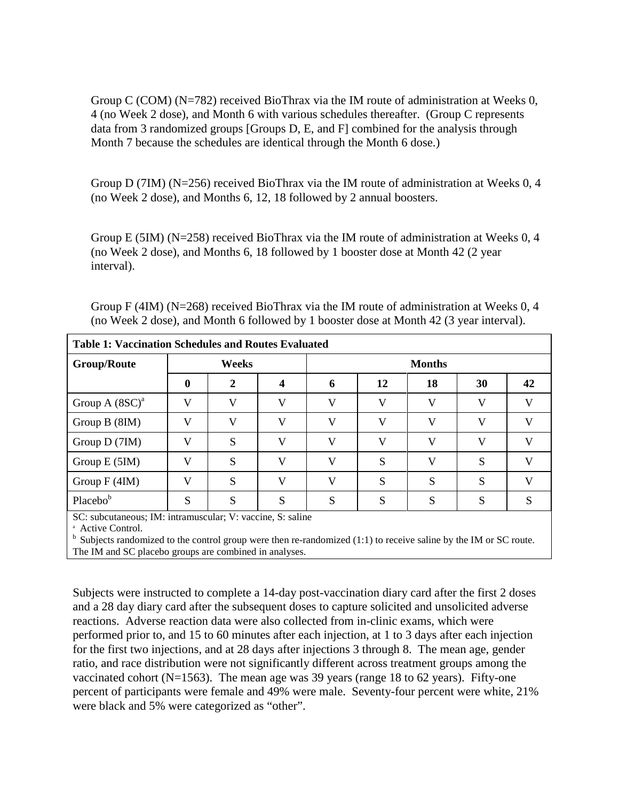Group C (COM) (N=782) received BioThrax via the IM route of administration at Weeks 0, 4 (no Week 2 dose), and Month 6 with various schedules thereafter. (Group C represents data from 3 randomized groups [Groups D, E, and F] combined for the analysis through Month 7 because the schedules are identical through the Month 6 dose.)

Group D (7IM) (N=256) received BioThrax via the IM route of administration at Weeks 0, 4 (no Week 2 dose), and Months 6, 12, 18 followed by 2 annual boosters.

Group E (5IM) ( $N=258$ ) received BioThrax via the IM route of administration at Weeks 0, 4 (no Week 2 dose), and Months 6, 18 followed by 1 booster dose at Month 42 (2 year interval).

| Group F (4IM) (N=268) received BioThrax via the IM route of administration at Weeks $0, 4$ |
|--------------------------------------------------------------------------------------------|
| (no Week 2 dose), and Month 6 followed by 1 booster dose at Month 42 (3 year interval).    |

<span id="page-5-0"></span>

|                                                                   | <b>Table 1: Vaccination Schedules and Routes Evaluated</b> |       |              |               |    |    |    |    |  |  |  |  |  |  |
|-------------------------------------------------------------------|------------------------------------------------------------|-------|--------------|---------------|----|----|----|----|--|--|--|--|--|--|
| <b>Group/Route</b>                                                |                                                            | Weeks |              | <b>Months</b> |    |    |    |    |  |  |  |  |  |  |
|                                                                   | $\mathbf 0$                                                | 2     |              | 6             | 12 | 18 | 30 | 42 |  |  |  |  |  |  |
| Group A $(8SC)^a$                                                 | V                                                          | V     | V            | V             | V  | V  | V  | V) |  |  |  |  |  |  |
| Group $B(8IM)$                                                    | V                                                          | V     | V            | V             | V  | V  | V  | X) |  |  |  |  |  |  |
| Group D (7IM)                                                     | V                                                          | S     | V            | V             | V  | V  | V  | X) |  |  |  |  |  |  |
| Group $E(5IM)$                                                    | V                                                          | S     | $\mathbf{V}$ | V             | S  | V  | S  |    |  |  |  |  |  |  |
| Group $F(4IM)$                                                    | V                                                          | S     | $\mathbf{V}$ | V             | S  | S  | S  |    |  |  |  |  |  |  |
| Placebob                                                          | S                                                          | S     | S            | S             | S  | S  | S  | S  |  |  |  |  |  |  |
| $SC_1$ subcutaneous: $IM_1$ intramuscular: V vaccine $S_1$ saline |                                                            |       |              |               |    |    |    |    |  |  |  |  |  |  |

SC: subcutaneous; IM: intramuscular; V: vaccine, S: saline

<sup>a</sup> Active Control.<br><sup>b</sup> Subjects randomized to the control group were then re-randomized (1:1) to receive saline by the IM or SC route. The IM and SC placebo groups are combined in analyses.

Subjects were instructed to complete a 14-day post-vaccination diary card after the first 2 doses and a 28 day diary card after the subsequent doses to capture solicited and unsolicited adverse reactions. Adverse reaction data were also collected from in-clinic exams, which were performed prior to, and 15 to 60 minutes after each injection, at 1 to 3 days after each injection for the first two injections, and at 28 days after injections 3 through 8. The mean age, gender ratio, and race distribution were not significantly different across treatment groups among the vaccinated cohort ( $N=1563$ ). The mean age was 39 years (range 18 to 62 years). Fifty-one percent of participants were female and 49% were male. Seventy-four percent were white, 21% were black and 5% were categorized as "other".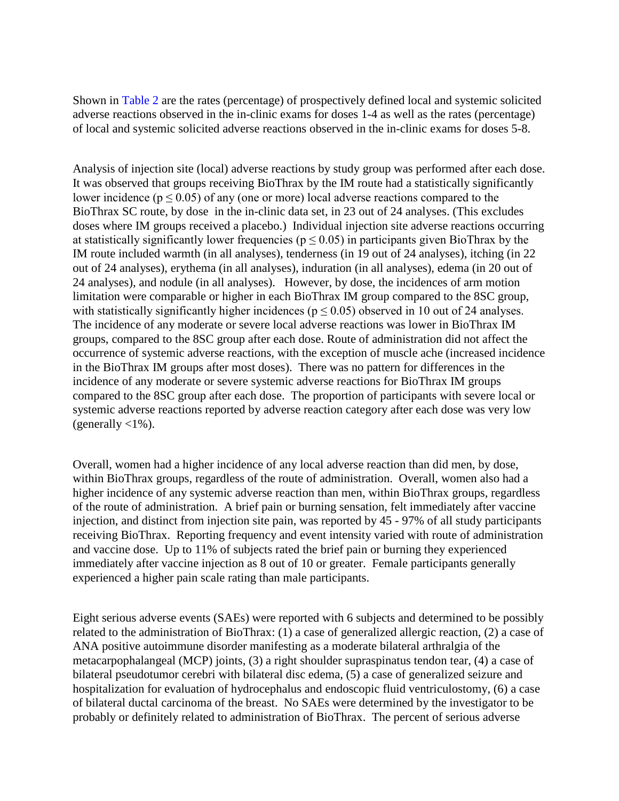Shown in [Table](#page-8-0) 2 are the rates (percentage) of prospectively defined local and systemic solicited adverse reactions observed in the in-clinic exams for doses 1-4 as well as the rates (percentage) of local and systemic solicited adverse reactions observed in the in-clinic exams for doses 5-8.

Analysis of injection site (local) adverse reactions by study group was performed after each dose. It was observed that groups receiving BioThrax by the IM route had a statistically significantly lower incidence ( $p \le 0.05$ ) of any (one or more) local adverse reactions compared to the BioThrax SC route, by dose in the in-clinic data set, in 23 out of 24 analyses. (This excludes doses where IM groups received a placebo.) Individual injection site adverse reactions occurring at statistically significantly lower frequencies ( $p \le 0.05$ ) in participants given BioThrax by the IM route included warmth (in all analyses), tenderness (in 19 out of 24 analyses), itching (in 22 out of 24 analyses), erythema (in all analyses), induration (in all analyses), edema (in 20 out of 24 analyses), and nodule (in all analyses). However, by dose, the incidences of arm motion limitation were comparable or higher in each BioThrax IM group compared to the 8SC group, with statistically significantly higher incidences ( $p \le 0.05$ ) observed in 10 out of 24 analyses. The incidence of any moderate or severe local adverse reactions was lower in BioThrax IM groups, compared to the 8SC group after each dose. Route of administration did not affect the occurrence of systemic adverse reactions, with the exception of muscle ache (increased incidence in the BioThrax IM groups after most doses). There was no pattern for differences in the incidence of any moderate or severe systemic adverse reactions for BioThrax IM groups compared to the 8SC group after each dose. The proportion of participants with severe local or systemic adverse reactions reported by adverse reaction category after each dose was very low (generally  $\langle 1\% \rangle$ .

Overall, women had a higher incidence of any local adverse reaction than did men, by dose, within BioThrax groups, regardless of the route of administration. Overall, women also had a higher incidence of any systemic adverse reaction than men, within BioThrax groups, regardless of the route of administration. A brief pain or burning sensation, felt immediately after vaccine injection, and distinct from injection site pain, was reported by 45 - 97% of all study participants receiving BioThrax. Reporting frequency and event intensity varied with route of administration and vaccine dose. Up to 11% of subjects rated the brief pain or burning they experienced immediately after vaccine injection as 8 out of 10 or greater. Female participants generally experienced a higher pain scale rating than male participants.

Eight serious adverse events (SAEs) were reported with 6 subjects and determined to be possibly related to the administration of BioThrax: (1) a case of generalized allergic reaction, (2) a case of ANA positive autoimmune disorder manifesting as a moderate bilateral arthralgia of the metacarpophalangeal (MCP) joints, (3) a right shoulder supraspinatus tendon tear, (4) a case of bilateral pseudotumor cerebri with bilateral disc edema, (5) a case of generalized seizure and hospitalization for evaluation of hydrocephalus and endoscopic fluid ventriculostomy, (6) a case of bilateral ductal carcinoma of the breast. No SAEs were determined by the investigator to be probably or definitely related to administration of BioThrax. The percent of serious adverse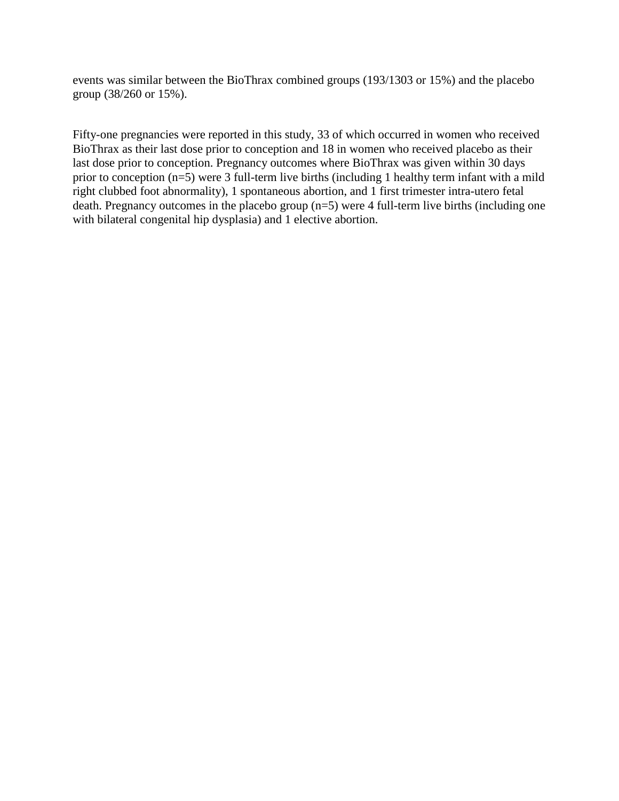events was similar between the BioThrax combined groups (193/1303 or 15%) and the placebo group (38/260 or 15%).

Fifty-one pregnancies were reported in this study, 33 of which occurred in women who received BioThrax as their last dose prior to conception and 18 in women who received placebo as their last dose prior to conception. Pregnancy outcomes where BioThrax was given within 30 days prior to conception (n=5) were 3 full-term live births (including 1 healthy term infant with a mild right clubbed foot abnormality), 1 spontaneous abortion, and 1 first trimester intra-utero fetal death. Pregnancy outcomes in the placebo group (n=5) were 4 full-term live births (including one with bilateral congenital hip dysplasia) and 1 elective abortion.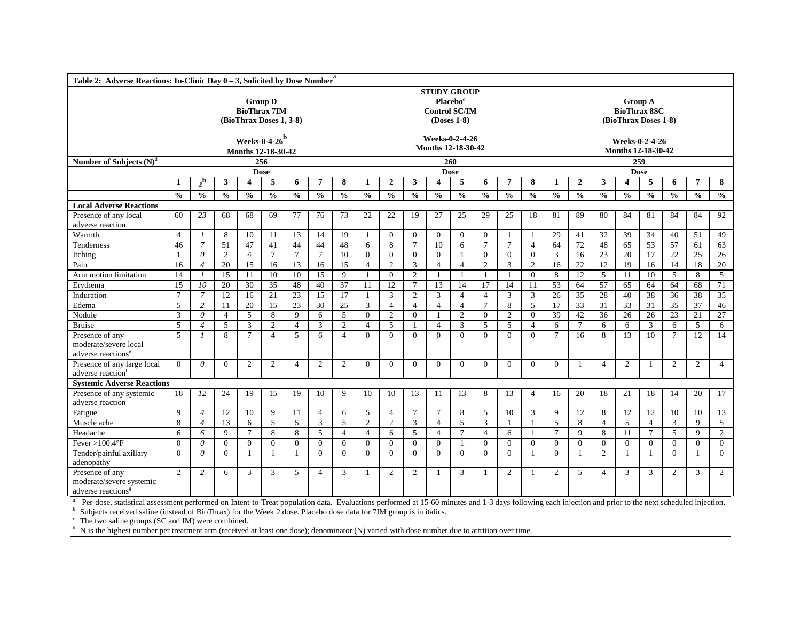<span id="page-8-0"></span>

| Table 2: Adverse Reactions: In-Clinic Day $0 - 3$ , Solicited by Dose Number <sup>a</sup>                                                                                                                                                                                               |                    |                |                |                         |                                                                  |                 |                |                 |                |                |                |                                                               |                |                |                |                |                                                               |                 |                |                                      |                |               |                 |                 |
|-----------------------------------------------------------------------------------------------------------------------------------------------------------------------------------------------------------------------------------------------------------------------------------------|--------------------|----------------|----------------|-------------------------|------------------------------------------------------------------|-----------------|----------------|-----------------|----------------|----------------|----------------|---------------------------------------------------------------|----------------|----------------|----------------|----------------|---------------------------------------------------------------|-----------------|----------------|--------------------------------------|----------------|---------------|-----------------|-----------------|
|                                                                                                                                                                                                                                                                                         | <b>STUDY GROUP</b> |                |                |                         |                                                                  |                 |                |                 |                |                |                |                                                               |                |                |                |                |                                                               |                 |                |                                      |                |               |                 |                 |
|                                                                                                                                                                                                                                                                                         |                    |                |                |                         | <b>Group D</b><br><b>BioThrax 7IM</b><br>(BioThrax Doses 1, 3-8) |                 |                |                 |                |                |                | Placebo <sup>c</sup><br><b>Control SC/IM</b><br>$(Doses 1-8)$ |                |                |                |                | <b>Group A</b><br><b>BioThrax 8SC</b><br>(BioThrax Doses 1-8) |                 |                |                                      |                |               |                 |                 |
|                                                                                                                                                                                                                                                                                         |                    |                |                |                         | Weeks-0-4-26 $^{\rm b}$<br>Months 12-18-30-42                    |                 |                |                 |                |                |                | Weeks-0-2-4-26<br><b>Months 12-18-30-42</b>                   |                |                |                |                |                                                               |                 |                | Weeks-0-2-4-26<br>Months 12-18-30-42 |                |               |                 |                 |
| Number of Subjects $(N)^d$                                                                                                                                                                                                                                                              |                    |                |                |                         | 256                                                              |                 |                |                 |                |                |                | $\overline{260}$                                              |                |                |                |                |                                                               |                 |                |                                      | 259            |               |                 |                 |
|                                                                                                                                                                                                                                                                                         |                    |                |                |                         | <b>Dose</b>                                                      |                 |                |                 |                |                |                |                                                               | <b>Dose</b>    |                |                |                |                                                               |                 |                |                                      | <b>Dose</b>    |               |                 |                 |
|                                                                                                                                                                                                                                                                                         | 1                  | $2^{\rm b}$    | 3              | $\overline{\mathbf{4}}$ | 5                                                                | 6               | 7              | 8               | $\mathbf{1}$   | $\overline{2}$ | 3              | $\overline{\mathbf{4}}$                                       | 5              | 6              | 7              | 8              | 1                                                             | $\mathbf{2}$    | 3              | $\overline{4}$                       | 5              | 6             | 7               | 8               |
|                                                                                                                                                                                                                                                                                         | $\frac{0}{0}$      | $\frac{0}{0}$  | $\frac{0}{0}$  | $\frac{0}{0}$           | $\frac{0}{0}$                                                    | $\frac{0}{0}$   | $\frac{0}{0}$  | $\frac{0}{0}$   | $\frac{0}{0}$  | $\frac{0}{0}$  | $\frac{0}{0}$  | $\frac{0}{0}$                                                 | $\frac{0}{0}$  | $\frac{0}{0}$  | $\frac{0}{0}$  | $\frac{0}{0}$  | $\frac{0}{0}$                                                 | $\frac{0}{0}$   | $\frac{0}{0}$  | $\frac{0}{0}$                        | $\frac{0}{0}$  | $\frac{0}{0}$ | $\frac{0}{0}$   | $\frac{0}{0}$   |
| <b>Local Adverse Reactions</b>                                                                                                                                                                                                                                                          |                    |                |                |                         |                                                                  |                 |                |                 |                |                |                |                                                               |                |                |                |                |                                                               |                 |                |                                      |                |               |                 |                 |
| Presence of any local                                                                                                                                                                                                                                                                   | 60                 | 23             | 68             | 68                      | 69                                                               | 77              | 76             | 73              | 22             | 22             | 19             | 27                                                            | 25             | 29             | 25             | 18             | 81                                                            | 89              | 80             | 84                                   | 81             | 84            | 84              | 92              |
| adverse reaction                                                                                                                                                                                                                                                                        |                    |                |                |                         |                                                                  |                 |                |                 |                |                |                |                                                               |                |                |                |                |                                                               |                 |                |                                      |                |               |                 |                 |
| Warmth                                                                                                                                                                                                                                                                                  | $\overline{4}$     | $\mathcal{I}$  | 8              | 10                      | 11                                                               | 13              | 14             | 19              | $\mathbf{1}$   | $\theta$       | $\theta$       | $\overline{0}$                                                | $\Omega$       | $\overline{0}$ | -1             | -1             | 29                                                            | 41              | 32             | 39                                   | 34             | 40            | 51              | 49              |
| Tenderness                                                                                                                                                                                                                                                                              | 46                 | $\overline{7}$ | 51             | 47                      | 41                                                               | 44              | 44             | 48              | 6              | 8              | $\tau$         | 10                                                            | 6              | $\tau$         | $\overline{7}$ | $\overline{4}$ | 64                                                            | 72              | 48             | 65                                   | 53             | 57            | 61              | 63              |
| Itching                                                                                                                                                                                                                                                                                 | -1                 | $\theta$       | $\overline{2}$ | $\overline{4}$          | $\tau$                                                           | $7\phantom{.0}$ | $\tau$         | 10              | $\mathbf{0}$   | $\Omega$       | $\theta$       | $\overline{0}$                                                | -1             | $\overline{0}$ | $\overline{0}$ | $\Omega$       | 3                                                             | 16              | 23             | 20                                   | 17             | 22            | 25              | 26              |
| Pain                                                                                                                                                                                                                                                                                    | 16                 | $\overline{4}$ | 20             | $\overline{15}$         | 16                                                               | 13              | 16             | 15              | $\overline{4}$ | $\overline{2}$ | 3              | $\overline{4}$                                                | $\overline{4}$ | 2              | 3              | $\overline{2}$ | 16                                                            | $\overline{22}$ | 12             | 19                                   | 16             | 14            | 18              | 20              |
| Arm motion limitation                                                                                                                                                                                                                                                                   | 14                 | $\mathcal{I}$  | 15             | 11                      | 10                                                               | 10              | 15             | 9               |                | $\Omega$       | 2              |                                                               | -1             | $\overline{1}$ | -1             | $\theta$       | 8                                                             | 12              | 5              | 11                                   | 10             | 5             | 8               | 5               |
| Erythema                                                                                                                                                                                                                                                                                | 15                 | 10             | 20             | 30                      | 35                                                               | 48              | 40             | $\overline{37}$ | 11             | 12             | $\tau$         | 13                                                            | 14             | 17             | 14             | 11             | $\overline{53}$                                               | 64              | 57             | 65                                   | 64             | 64            | 68              | 71              |
| Induration                                                                                                                                                                                                                                                                              | $\tau$             | $\overline{7}$ | 12             | 16                      | 21                                                               | 23              | 15             | 17              |                | 3              | $\overline{c}$ | 3                                                             | $\overline{4}$ | $\overline{4}$ | 3              | 3              | 26                                                            | 35              | 28             | 40                                   | 38             | 36            | 38              | $\overline{35}$ |
| Edema                                                                                                                                                                                                                                                                                   | 5                  | $\overline{2}$ | 11             | 20                      | 15                                                               | 23              | 30             | 25              | 3              | $\overline{4}$ | $\overline{4}$ | $\overline{4}$                                                | $\overline{4}$ | $\tau$         | 8              | 5              | 17                                                            | $\overline{33}$ | 31             | 33                                   | 31             | 35            | $\overline{37}$ | 46              |
| Nodule                                                                                                                                                                                                                                                                                  | 3                  | $\theta$       | $\overline{4}$ | 5                       | 8                                                                | $\mathbf{Q}$    | 6              | 5               | $\theta$       | $\overline{2}$ | $\Omega$       |                                                               | $\overline{c}$ | $\overline{0}$ | $\overline{2}$ | $\mathbf{0}$   | 39                                                            | 42              | 36             | 26                                   | 26             | 23            | 21              | 27              |
| <b>Bruise</b>                                                                                                                                                                                                                                                                           | 5                  | $\overline{4}$ | 5              | 3                       | 2                                                                | $\overline{4}$  | 3              | 2               | $\overline{4}$ | 5              | 1              | $\overline{4}$                                                | 3              | 5              | 5              | $\overline{4}$ | 6                                                             | $7\phantom{.0}$ | 6              | 6                                    | 3              | 6             | 5               | 6               |
| Presence of any                                                                                                                                                                                                                                                                         | 5                  | $\mathcal{I}$  | 8              | $7\phantom{.0}$         | $\overline{4}$                                                   | 5               | 6              | $\overline{4}$  | $\Omega$       | $\Omega$       | $\Omega$       | $\Omega$                                                      | $\Omega$       | $\Omega$       | $\Omega$       | $\Omega$       | $\tau$                                                        | 16              | 8              | 13                                   | 10             | $\tau$        | 12              | 14              |
| moderate/severe local                                                                                                                                                                                                                                                                   |                    |                |                |                         |                                                                  |                 |                |                 |                |                |                |                                                               |                |                |                |                |                                                               |                 |                |                                      |                |               |                 |                 |
| adverse reactions <sup>e</sup>                                                                                                                                                                                                                                                          |                    |                |                |                         |                                                                  |                 |                |                 |                |                |                |                                                               |                |                |                |                |                                                               |                 |                |                                      |                |               |                 |                 |
| Presence of any large local<br>adverse reaction <sup>t</sup>                                                                                                                                                                                                                            | $\Omega$           | $\theta$       | $\Omega$       | 2                       | 2                                                                | $\overline{4}$  | 2              | 2               | $\Omega$       | $\overline{0}$ | $\Omega$       | $\Omega$                                                      | $\mathbf{0}$   | $\overline{0}$ | $\Omega$       | $\Omega$       | $\overline{0}$                                                | 1               | $\overline{4}$ | 2                                    | $\overline{1}$ | 2             | 2               | $\overline{4}$  |
| <b>Systemic Adverse Reactions</b>                                                                                                                                                                                                                                                       |                    |                |                |                         |                                                                  |                 |                |                 |                |                |                |                                                               |                |                |                |                |                                                               |                 |                |                                      |                |               |                 |                 |
| Presence of any systemic<br>adverse reaction                                                                                                                                                                                                                                            | 18                 | 12             | 24             | 19                      | 15                                                               | 19              | 10             | 9               | 10             | 10             | 13             | 11                                                            | 13             | 8              | 13             | $\overline{4}$ | 16                                                            | 20              | 18             | 21                                   | 18             | 14            | 20              | 17              |
| Fatigue                                                                                                                                                                                                                                                                                 | 9                  | $\overline{4}$ | 12             | 10                      | $\mathbf{Q}$                                                     | 11              | $\overline{4}$ | 6               | 5              | $\overline{4}$ | $\tau$         | $\overline{7}$                                                | 8              | 5              | 10             | 3              | 9                                                             | 12              | 8              | 12                                   | 12             | 10            | 10              | 13              |
| Muscle ache                                                                                                                                                                                                                                                                             | 8                  | $\overline{4}$ | 13             | 6                       | 5                                                                | 5               | 3              | 5               | $\overline{2}$ | $\mathfrak{2}$ | 3              | $\overline{4}$                                                | 5              | 3              | $\overline{1}$ | -1             | 5                                                             | 8               | $\overline{4}$ | 5                                    | $\overline{4}$ | 3             | 9               | 5               |
| Headache                                                                                                                                                                                                                                                                                | 6                  | 6              | $\mathbf{Q}$   | $7\phantom{.0}$         | 8                                                                | 8               | $\mathfrak{F}$ | $\overline{4}$  | $\overline{4}$ | 6              | 5              | $\overline{4}$                                                | $\tau$         | $\overline{4}$ | 6              | $\mathbf{1}$   | $\tau$                                                        | 9               | 8              | 11                                   | $\tau$         | 5             | 9               | 2               |
| $Fever > 100.4$ <sup>o</sup> $F$                                                                                                                                                                                                                                                        | $\theta$           | $\theta$       | $\Omega$       | $\theta$                | $\Omega$                                                         | $\Omega$        | $\Omega$       | $\Omega$        | $\theta$       | $\theta$       | $\theta$       | $\Omega$                                                      | $\mathbf{1}$   | $\theta$       | $\Omega$       | $\Omega$       | $\Omega$                                                      | $\Omega$        | $\Omega$       | $\Omega$                             | $\theta$       | $\Omega$      | $\Omega$        | $\overline{0}$  |
| Tender/painful axillary<br>adenopathy                                                                                                                                                                                                                                                   | $\Omega$           | $\theta$       | $\Omega$       | $\mathbf{1}$            | $\mathbf{1}$                                                     | $\mathbf{1}$    | $\Omega$       | $\Omega$        | $\theta$       | $\Omega$       | $\theta$       | $\Omega$                                                      | $\Omega$       | $\theta$       | $\theta$       | $\mathbf{1}$   | $\Omega$                                                      | $\mathbf{1}$    | $\overline{2}$ | $\mathbf{1}$                         | $\overline{1}$ | $\Omega$      | 1               | $\overline{0}$  |
| Presence of any<br>moderate/severe systemic<br>adverse reactions <sup>g</sup><br>Per-dose, statistical assessment performed on Intent-to-Treat population data. Evaluations performed at 15-60 minutes and 1-3 days following each injection and prior to the next scheduled injection. | $\overline{2}$     | 2              | 6              | 3                       | 3                                                                | 5               | $\overline{4}$ | 3               | $\overline{1}$ | $\overline{2}$ | 2              | $\overline{1}$                                                | 3              | $\mathbf{1}$   | $\overline{2}$ | $\mathbf{1}$   | 2                                                             | 5               | $\overline{4}$ | 3                                    | 3              | 2             | 3               | 2               |

b Subjects received saline (instead of BioThrax) for the Week 2 dose. Placebo dose data for 7IM group is in italics.  $c$  The two saline groups (SC and IM) were combined.

N is the highest number per treatment arm (received at least one dose); denominator (N) varied with dose number due to attrition over time.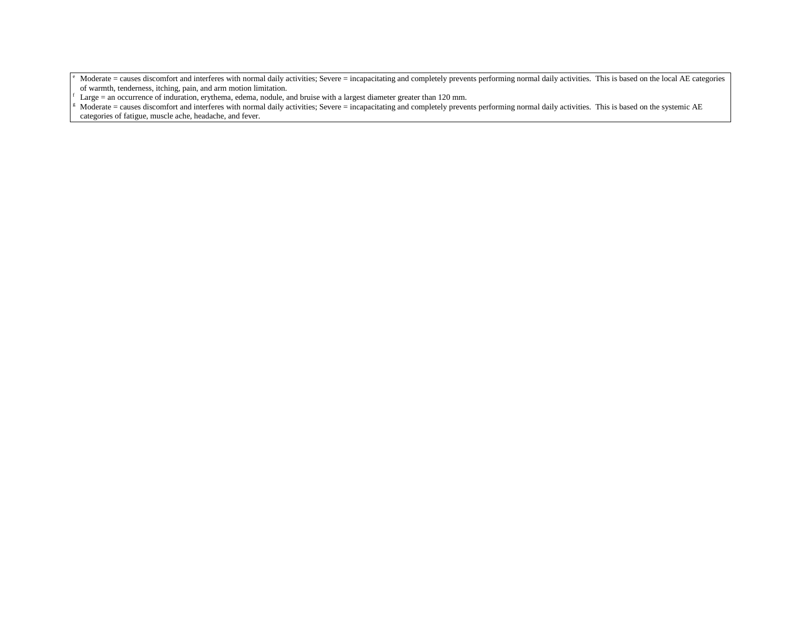Moderate = causes discomfort and interferes with normal daily activities; Severe = incapacitating and completely prevents performing normal daily activities. This is based on the local AE categories of warmth, tenderness, itching, pain, and arm motion limitation.<br>Large = an occurrence of induration, erythema, edema, nodule, and bruise with a largest diameter greater than 120 mm.

Moderate = causes discomfort and interferes with normal daily activities; Severe = incapacitating and completely prevents performing normal daily activities. This is based on the systemic AE categories of fatigue, muscle ache, headache, and fever.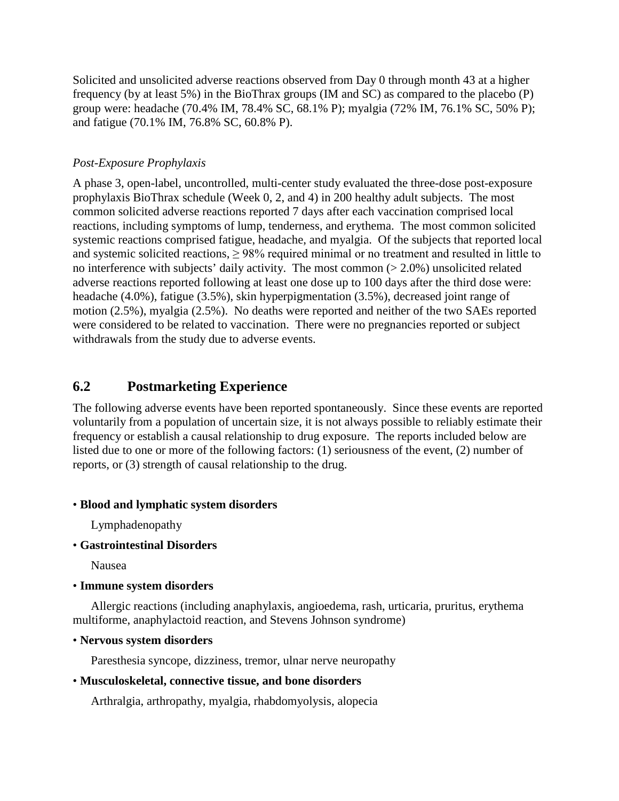Solicited and unsolicited adverse reactions observed from Day 0 through month 43 at a higher frequency (by at least 5%) in the BioThrax groups (IM and SC) as compared to the placebo (P) group were: headache (70.4% IM, 78.4% SC, 68.1% P); myalgia (72% IM, 76.1% SC, 50% P); and fatigue (70.1% IM, 76.8% SC, 60.8% P).

#### *Post-Exposure Prophylaxis*

A phase 3, open-label, uncontrolled, multi-center study evaluated the three-dose post-exposure prophylaxis BioThrax schedule (Week 0, 2, and 4) in 200 healthy adult subjects. The most common solicited adverse reactions reported 7 days after each vaccination comprised local reactions, including symptoms of lump, tenderness, and erythema. The most common solicited systemic reactions comprised fatigue, headache, and myalgia. Of the subjects that reported local and systemic solicited reactions,  $\geq$  98% required minimal or no treatment and resulted in little to no interference with subjects' daily activity. The most common (> 2.0%) unsolicited related adverse reactions reported following at least one dose up to 100 days after the third dose were: headache (4.0%), fatigue (3.5%), skin hyperpigmentation (3.5%), decreased joint range of motion (2.5%), myalgia (2.5%). No deaths were reported and neither of the two SAEs reported were considered to be related to vaccination. There were no pregnancies reported or subject withdrawals from the study due to adverse events.

### **6.2 Postmarketing Experience**

The following adverse events have been reported spontaneously. Since these events are reported voluntarily from a population of uncertain size, it is not always possible to reliably estimate their frequency or establish a causal relationship to drug exposure. The reports included below are listed due to one or more of the following factors: (1) seriousness of the event, (2) number of reports, or (3) strength of causal relationship to the drug.

#### • **Blood and lymphatic system disorders**

Lymphadenopathy

• **Gastrointestinal Disorders**

Nausea

• **Immune system disorders**

Allergic reactions (including anaphylaxis, angioedema, rash, urticaria, pruritus, erythema multiforme, anaphylactoid reaction, and Stevens Johnson syndrome)

• **Nervous system disorders**

Paresthesia syncope, dizziness, tremor, ulnar nerve neuropathy

#### • **Musculoskeletal, connective tissue, and bone disorders**

Arthralgia, arthropathy, myalgia, rhabdomyolysis, alopecia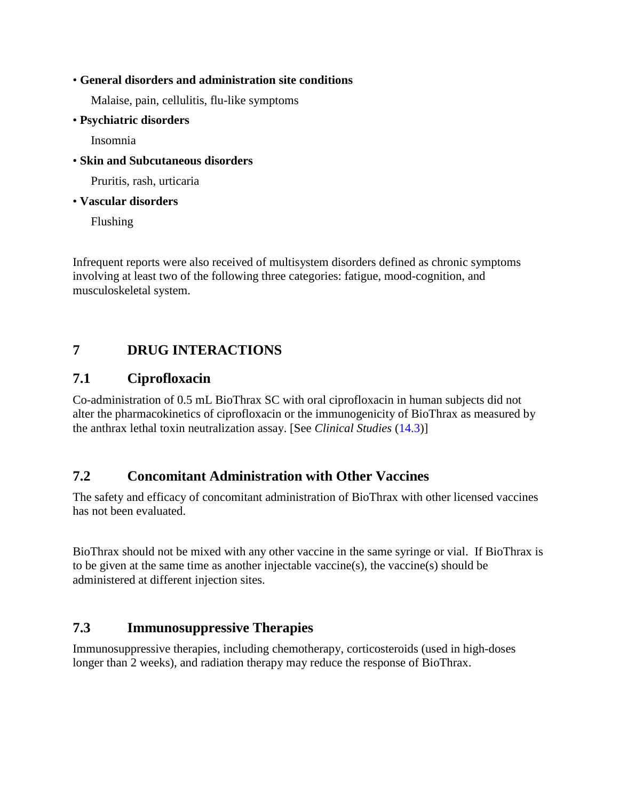#### • **General disorders and administration site conditions**

Malaise, pain, cellulitis, flu-like symptoms

• **Psychiatric disorders**

Insomnia

• **Skin and Subcutaneous disorders**

Pruritis, rash, urticaria

#### • **Vascular disorders**

Flushing

Infrequent reports were also received of multisystem disorders defined as chronic symptoms involving at least two of the following three categories: fatigue, mood-cognition, and musculoskeletal system.

# **7 DRUG INTERACTIONS**

#### **7.1 Ciprofloxacin**

Co-administration of 0.5 mL BioThrax SC with oral ciprofloxacin in human subjects did not alter the pharmacokinetics of ciprofloxacin or the immunogenicity of BioThrax as measured by the anthrax lethal toxin neutralization assay. [See *Clinical Studies* [\(14.3\)](#page-20-2)]

### **7.2 Concomitant Administration with Other Vaccines**

The safety and efficacy of concomitant administration of BioThrax with other licensed vaccines has not been evaluated.

BioThrax should not be mixed with any other vaccine in the same syringe or vial. If BioThrax is to be given at the same time as another injectable vaccine(s), the vaccine(s) should be administered at different injection sites.

### **7.3 Immunosuppressive Therapies**

Immunosuppressive therapies, including chemotherapy, corticosteroids (used in high-doses longer than 2 weeks), and radiation therapy may reduce the response of BioThrax.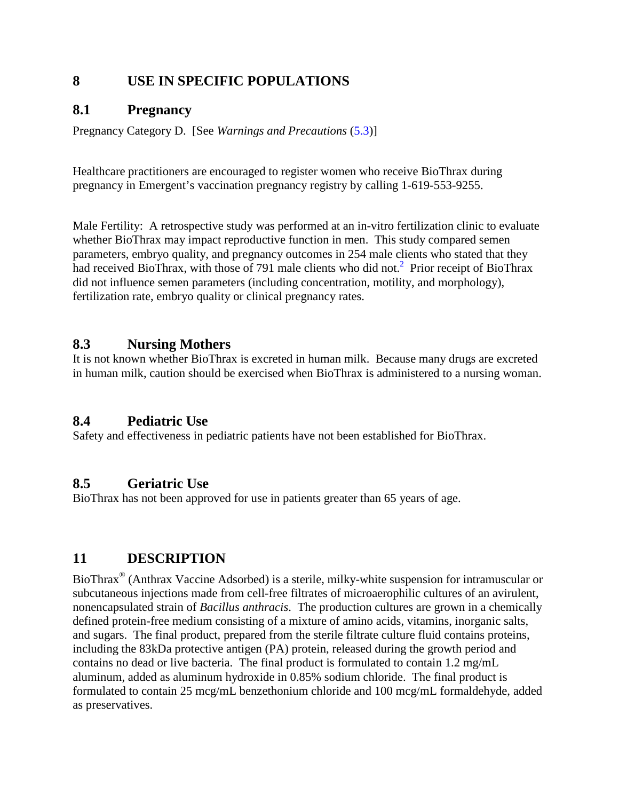## **8 USE IN SPECIFIC POPULATIONS**

### <span id="page-12-1"></span>**8.1 Pregnancy**

Pregnancy Category D. [See *Warnings and Precautions* [\(5.3\)](#page-3-1)]

Healthcare practitioners are encouraged to register women who receive BioThrax during pregnancy in Emergent's vaccination pregnancy registry by calling 1-619-553-9255.

Male Fertility: A retrospective study was performed at an in-vitro fertilization clinic to evaluate whether BioThrax may impact reproductive function in men. This study compared semen parameters, embryo quality, and pregnancy outcomes in 254 male clients who stated that they had received BioThrax, with those of 791 male clients who did not[.](#page-20-3)<sup>2</sup> Prior receipt of BioThrax did not influence semen parameters (including concentration, motility, and morphology), fertilization rate, embryo quality or clinical pregnancy rates.

### **8.3 Nursing Mothers**

It is not known whether BioThrax is excreted in human milk. Because many drugs are excreted in human milk, caution should be exercised when BioThrax is administered to a nursing woman.

### <span id="page-12-2"></span>**8.4 Pediatric Use**

Safety and effectiveness in pediatric patients have not been established for BioThrax.

#### <span id="page-12-3"></span>**8.5 Geriatric Use**

BioThrax has not been approved for use in patients greater than 65 years of age.

# <span id="page-12-0"></span>**11 DESCRIPTION**

BioThrax® (Anthrax Vaccine Adsorbed) is a sterile, milky-white suspension for intramuscular or subcutaneous injections made from cell-free filtrates of microaerophilic cultures of an avirulent, nonencapsulated strain of *Bacillus anthracis*. The production cultures are grown in a chemically defined protein-free medium consisting of a mixture of amino acids, vitamins, inorganic salts, and sugars. The final product, prepared from the sterile filtrate culture fluid contains proteins, including the 83kDa protective antigen (PA) protein, released during the growth period and contains no dead or live bacteria. The final product is formulated to contain 1.2 mg/mL aluminum, added as aluminum hydroxide in 0.85% sodium chloride. The final product is formulated to contain 25 mcg/mL benzethonium chloride and 100 mcg/mL formaldehyde, added as preservatives.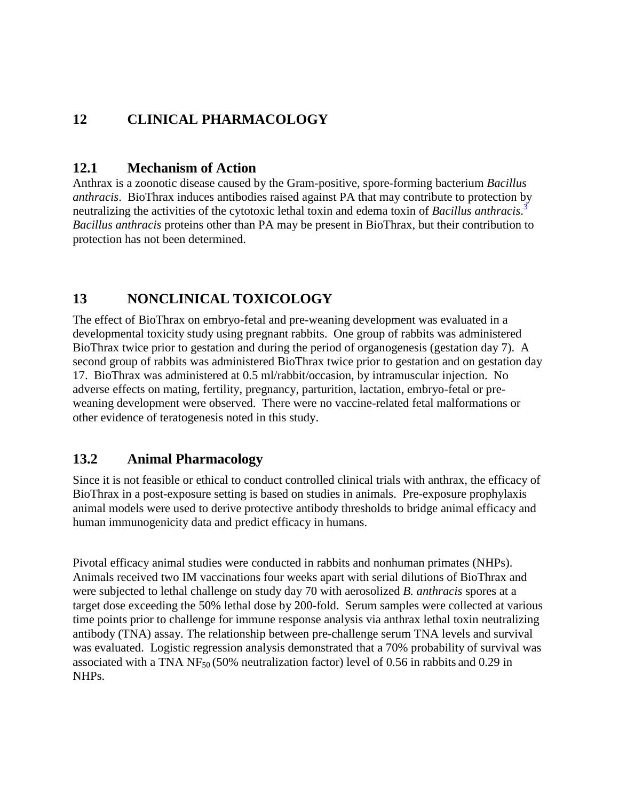# **12 CLINICAL PHARMACOLOGY**

#### **12.1 Mechanism of Action**

Anthrax is a zoonotic disease caused by the Gram-positive, spore-forming bacterium *Bacillus anthracis*. BioThrax induces antibodies raised against PA that may contribute to protection by neutralizing the activities of the cytotoxic lethal toxin and edema toxin of *Bacillus anthracis*. [3](#page-20-4) *Bacillus anthracis* proteins other than PA may be present in BioThrax, but their contribution to protection has not been determined.

# **13 NONCLINICAL TOXICOLOGY**

The effect of BioThrax on embryo-fetal and pre-weaning development was evaluated in a developmental toxicity study using pregnant rabbits. One group of rabbits was administered BioThrax twice prior to gestation and during the period of organogenesis (gestation day 7). A second group of rabbits was administered BioThrax twice prior to gestation and on gestation day 17. BioThrax was administered at 0.5 ml/rabbit/occasion, by intramuscular injection. No adverse effects on mating, fertility, pregnancy, parturition, lactation, embryo-fetal or preweaning development were observed. There were no vaccine-related fetal malformations or other evidence of teratogenesis noted in this study.

### <span id="page-13-0"></span>**13.2 Animal Pharmacology**

Since it is not feasible or ethical to conduct controlled clinical trials with anthrax, the efficacy of BioThrax in a post-exposure setting is based on studies in animals. Pre-exposure prophylaxis animal models were used to derive protective antibody thresholds to bridge animal efficacy and human immunogenicity data and predict efficacy in humans.

Pivotal efficacy animal studies were conducted in rabbits and nonhuman primates (NHPs). Animals received two IM vaccinations four weeks apart with serial dilutions of BioThrax and were subjected to lethal challenge on study day 70 with aerosolized *B. anthracis* spores at a target dose exceeding the 50% lethal dose by 200-fold. Serum samples were collected at various time points prior to challenge for immune response analysis via anthrax lethal toxin neutralizing antibody (TNA) assay. The relationship between pre-challenge serum TNA levels and survival was evaluated. Logistic regression analysis demonstrated that a 70% probability of survival was associated with a TNA  $NF_{50}$  (50% neutralization factor) level of 0.56 in rabbits and 0.29 in NHPs.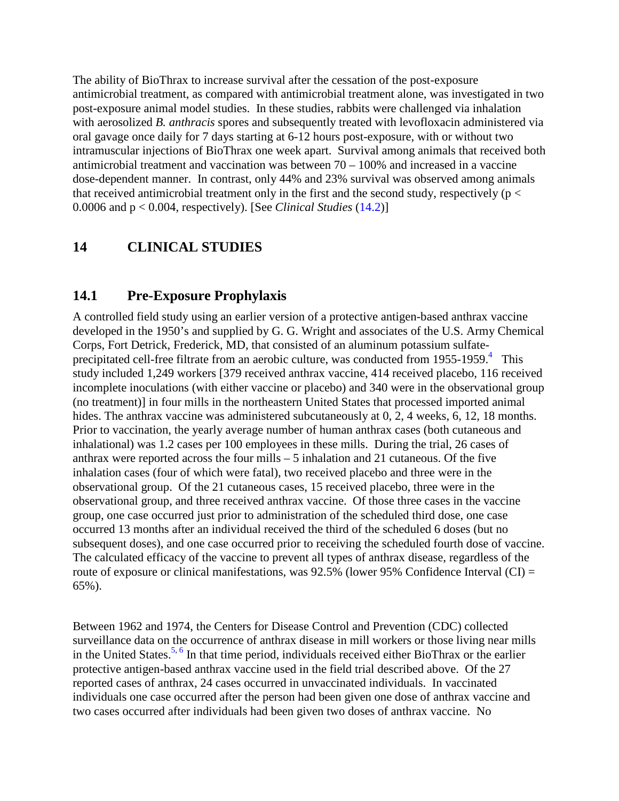The ability of BioThrax to increase survival after the cessation of the post-exposure antimicrobial treatment, as compared with antimicrobial treatment alone, was investigated in two post-exposure animal model studies. In these studies, rabbits were challenged via inhalation with aerosolized *B. anthracis* spores and subsequently treated with levofloxacin administered via oral gavage once daily for 7 days starting at 6-12 hours post-exposure, with or without two intramuscular injections of BioThrax one week apart. Survival among animals that received both antimicrobial treatment and vaccination was between  $70 - 100\%$  and increased in a vaccine dose-dependent manner. In contrast, only 44% and 23% survival was observed among animals that received antimicrobial treatment only in the first and the second study, respectively ( $p <$ 0.0006 and p < 0.004, respectively). [See *Clinical Studies* [\(14.2\)](#page-19-0)]

### <span id="page-14-0"></span>**14 CLINICAL STUDIES**

#### **14.1 Pre-Exposure Prophylaxis**

A controlled field study using an earlier version of a protective antigen-based anthrax vaccine developed in the 1950's and supplied by G. G. Wright and associates of the U.S. Army Chemical Corps, Fort Detrick, Frederick, MD, that consisted of an aluminum potassium sulfateprecipitated cell-free filtrate from an aerobic culture, was conducted from  $1955$ -1959.<sup>[4](#page-20-5)</sup> This study included 1,249 workers [379 received anthrax vaccine, 414 received placebo, 116 received incomplete inoculations (with either vaccine or placebo) and 340 were in the observational group (no treatment)] in four mills in the northeastern United States that processed imported animal hides. The anthrax vaccine was administered subcutaneously at 0, 2, 4 weeks, 6, 12, 18 months. Prior to vaccination, the yearly average number of human anthrax cases (both cutaneous and inhalational) was 1.2 cases per 100 employees in these mills. During the trial, 26 cases of anthrax were reported across the four mills – 5 inhalation and 21 cutaneous. Of the five inhalation cases (four of which were fatal), two received placebo and three were in the observational group. Of the 21 cutaneous cases, 15 received placebo, three were in the observational group, and three received anthrax vaccine. Of those three cases in the vaccine group, one case occurred just prior to administration of the scheduled third dose, one case occurred 13 months after an individual received the third of the scheduled 6 doses (but no subsequent doses), and one case occurred prior to receiving the scheduled fourth dose of vaccine. The calculated efficacy of the vaccine to prevent all types of anthrax disease, regardless of the route of exposure or clinical manifestations, was 92.5% (lower 95% Confidence Interval (CI) = 65%).

Between 1962 and 1974, the Centers for Disease Control and Prevention (CDC) collected surveillance data on the occurrence of anthrax disease in mill workers or those living near mills in the United States.<sup>5, [6](#page-20-7)</sup> In that time period, individuals received either BioThrax or the earlier protective antigen-based anthrax vaccine used in the field trial described above. Of the 27 reported cases of anthrax, 24 cases occurred in unvaccinated individuals. In vaccinated individuals one case occurred after the person had been given one dose of anthrax vaccine and two cases occurred after individuals had been given two doses of anthrax vaccine. No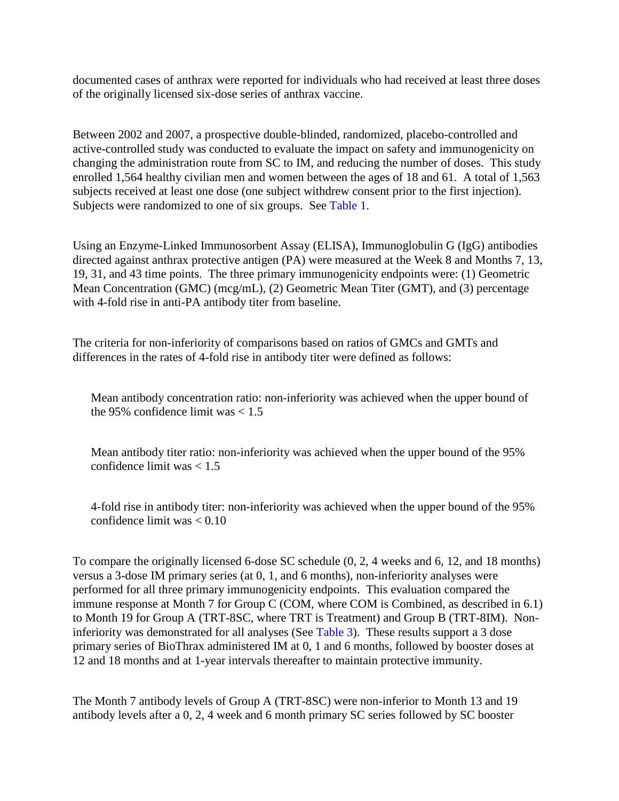documented cases of anthrax were reported for individuals who had received at least three doses of the originally licensed six-dose series of anthrax vaccine.

Between 2002 and 2007, a prospective double-blinded, randomized, placebo-controlled and active-controlled study was conducted to evaluate the impact on safety and immunogenicity on changing the administration route from SC to IM, and reducing the number of doses. This study enrolled 1,564 healthy civilian men and women between the ages of 18 and 61. A total of 1,563 subjects received at least one dose (one subject withdrew consent prior to the first injection). Subjects were randomized to one of six groups. See [Table 1.](#page-5-0)

Using an Enzyme-Linked Immunosorbent Assay (ELISA), Immunoglobulin G (IgG) antibodies directed against anthrax protective antigen (PA) were measured at the Week 8 and Months 7, 13, 19, 31, and 43 time points. The three primary immunogenicity endpoints were: (1) Geometric Mean Concentration (GMC) (mcg/mL), (2) Geometric Mean Titer (GMT), and (3) percentage with 4-fold rise in anti-PA antibody titer from baseline.

The criteria for non-inferiority of comparisons based on ratios of GMCs and GMTs and differences in the rates of 4-fold rise in antibody titer were defined as follows:

Mean antibody concentration ratio: non-inferiority was achieved when the upper bound of the 95% confidence limit was  $< 1.5$ 

Mean antibody titer ratio: non-inferiority was achieved when the upper bound of the 95% confidence limit was  $< 1.5$ 

4-fold rise in antibody titer: non-inferiority was achieved when the upper bound of the 95% confidence limit was < 0.10

To compare the originally licensed 6-dose SC schedule (0, 2, 4 weeks and 6, 12, and 18 months) versus a 3-dose IM primary series (at 0, 1, and 6 months), non-inferiority analyses were performed for all three primary immunogenicity endpoints. This evaluation compared the immune response at Month 7 for Group C (COM, where COM is Combined, as described in 6.1) to Month 19 for Group A (TRT-8SC, where TRT is Treatment) and Group B (TRT-8IM). Noninferiority was demonstrated for all analyses (See [Table 3\)](#page-17-0). These results support a 3 dose primary series of BioThrax administered IM at 0, 1 and 6 months, followed by booster doses at 12 and 18 months and at 1-year intervals thereafter to maintain protective immunity.

The Month 7 antibody levels of Group A (TRT-8SC) were non-inferior to Month 13 and 19 antibody levels after a 0, 2, 4 week and 6 month primary SC series followed by SC booster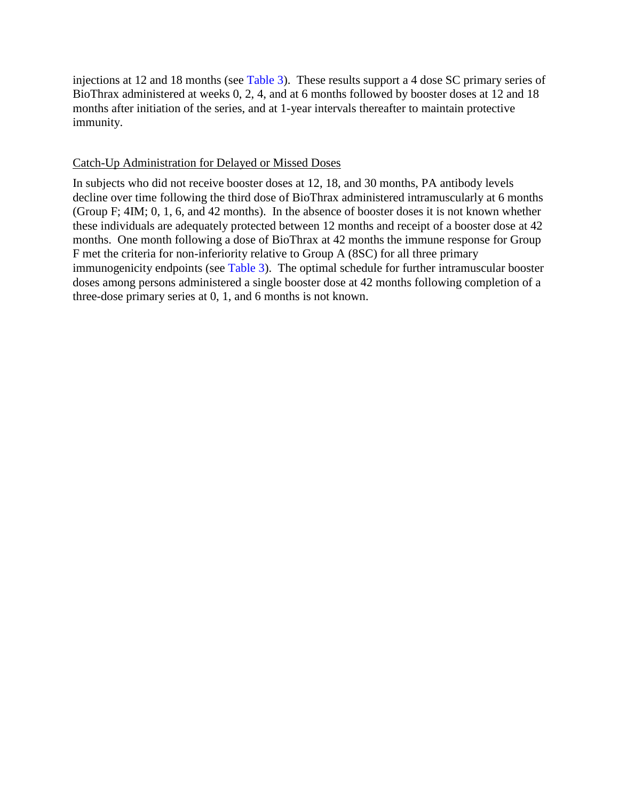injections at 12 and 18 months (see [Table 3\)](#page-17-0). These results support a 4 dose SC primary series of BioThrax administered at weeks 0, 2, 4, and at 6 months followed by booster doses at 12 and 18 months after initiation of the series, and at 1-year intervals thereafter to maintain protective immunity.

#### Catch-Up Administration for Delayed or Missed Doses

In subjects who did not receive booster doses at 12, 18, and 30 months, PA antibody levels decline over time following the third dose of BioThrax administered intramuscularly at 6 months (Group F; 4IM; 0, 1, 6, and 42 months). In the absence of booster doses it is not known whether these individuals are adequately protected between 12 months and receipt of a booster dose at 42 months. One month following a dose of BioThrax at 42 months the immune response for Group F met the criteria for non-inferiority relative to Group A (8SC) for all three primary immunogenicity endpoints (see [Table 3\)](#page-17-0). The optimal schedule for further intramuscular booster doses among persons administered a single booster dose at 42 months following completion of a three-dose primary series at 0, 1, and 6 months is not known.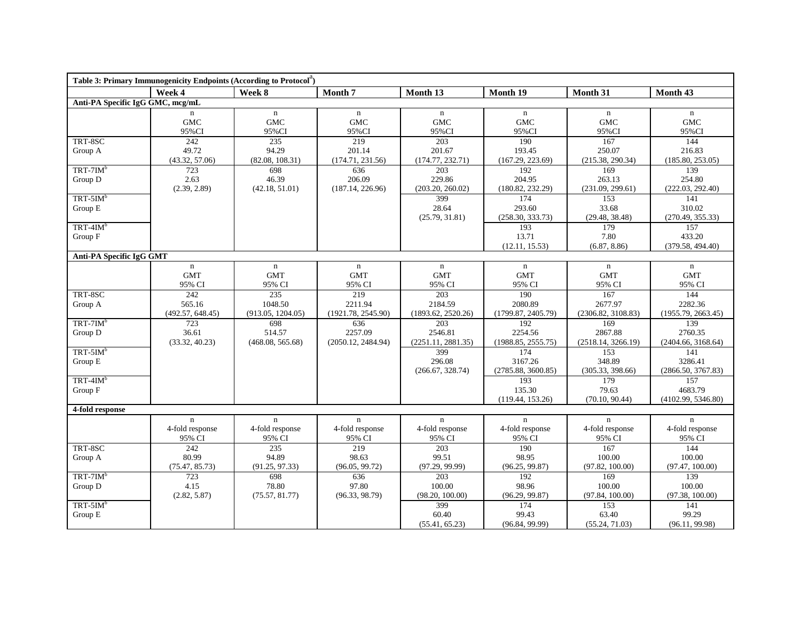<span id="page-17-0"></span>

| Table 3: Primary Immunogenicity Endpoints (According to Protocol <sup>4</sup> ) |                                          |                                          |                                          |                                                   |                                          |                                           |                                          |  |  |  |
|---------------------------------------------------------------------------------|------------------------------------------|------------------------------------------|------------------------------------------|---------------------------------------------------|------------------------------------------|-------------------------------------------|------------------------------------------|--|--|--|
|                                                                                 | Week 4                                   | Week 8                                   | Month <sub>7</sub>                       | Month 13                                          | Month 19                                 | Month 31                                  | Month 43                                 |  |  |  |
| Anti-PA Specific IgG GMC, mcg/mL                                                |                                          |                                          |                                          |                                                   |                                          |                                           |                                          |  |  |  |
|                                                                                 | $\mathbf n$<br><b>GMC</b><br>95%CI       | $\mathbf n$<br><b>GMC</b><br>95%CI       | $\mathbf n$<br>GMC<br>95%CI              | $\mathbf n$<br><b>GMC</b><br>95%CI                | $\mathbf n$<br>GMC<br>95%CI              | $\mathbf n$<br><b>GMC</b><br>95%CI        | $\mathbf n$<br><b>GMC</b><br>95%CI       |  |  |  |
| TRT-8SC<br>Group A                                                              | 242<br>49.72<br>(43.32, 57.06)           | 235<br>94.29<br>(82.08, 108.31)          | 219<br>201.14<br>(174.71, 231.56)        | 203<br>201.67<br>(174.77, 232.71)                 | 190<br>193.45<br>(167.29, 223.69)        | 167<br>250.07<br>(215.38, 290.34)         | 144<br>216.83<br>(185.80, 253.05)        |  |  |  |
| $TRT-7IMb$<br>Group D                                                           | 723<br>2.63<br>(2.39, 2.89)              | 698<br>46.39<br>(42.18, 51.01)           | 636<br>206.09<br>(187.14, 226.96)        | 203<br>229.86<br>(203.20, 260.02)                 | 192<br>204.95<br>(180.82, 232.29)        | 169<br>263.13<br>(231.09, 299.61)         | 139<br>254.80<br>(222.03, 292.40)        |  |  |  |
| $TRT-5IMb$<br>Group E<br>$TRT-4IM^b$                                            |                                          |                                          |                                          | 399<br>28.64<br>(25.79, 31.81)                    | 174<br>293.60<br>(258.30, 333.73)<br>193 | 153<br>33.68<br>(29.48, 38.48)<br>179     | 141<br>310.02<br>(270.49, 355.33)<br>157 |  |  |  |
| Group F                                                                         |                                          |                                          |                                          |                                                   | 13.71<br>(12.11, 15.53)                  | 7.80<br>(6.87, 8.86)                      | 433.20<br>(379.58, 494.40)               |  |  |  |
| Anti-PA Specific IgG GMT                                                        |                                          |                                          |                                          |                                                   |                                          |                                           |                                          |  |  |  |
|                                                                                 | $\mathbf n$<br><b>GMT</b><br>95% CI      | $\mathbf n$<br><b>GMT</b><br>95% CI      | $\mathbf n$<br><b>GMT</b><br>95% CI      | $\mathbf n$<br><b>GMT</b><br>95% CI               | $\mathbf n$<br><b>GMT</b><br>95% CI      | $\mathbf n$<br><b>GMT</b><br>95% CI       | $\mathbf n$<br><b>GMT</b><br>95% CI      |  |  |  |
| TRT-8SC<br>Group A                                                              | 242<br>565.16<br>(492.57, 648.45)        | 235<br>1048.50<br>(913.05, 1204.05)      | 219<br>2211.94<br>(1921.78, 2545.90)     | $\overline{203}$<br>2184.59<br>(1893.62, 2520.26) | 190<br>2080.89<br>(1799.87, 2405.79)     | 167<br>2677.97<br>(2306.82, 3108.83)      | 144<br>2282.36<br>(1955.79, 2663.45)     |  |  |  |
| $TRT-7IMb$<br>Group D                                                           | 723<br>36.61<br>(33.32, 40.23)           | 698<br>514.57<br>(468.08, 565.68)        | 636<br>2257.09<br>(2050.12, 2484.94)     | 203<br>2546.81<br>(2251.11, 2881.35)              | 192<br>2254.56<br>(1988.85, 2555.75)     | 169<br>2867.88<br>(2518.14, 3266.19)      | 139<br>2760.35<br>(2404.66, 3168.64)     |  |  |  |
| $TRT-5IMb$<br>Group E                                                           |                                          |                                          |                                          | 399<br>296.08<br>(266.67, 328.74)                 | 174<br>3167.26<br>(2785.88, 3600.85)     | 153<br>348.89<br>(305.33, 398.66)         | 141<br>3286.41<br>(2866.50, 3767.83)     |  |  |  |
| $TRT-4IM^b$<br>Group F                                                          |                                          |                                          |                                          |                                                   | 193<br>135.30<br>(119.44, 153.26)        | 179<br>79.63<br>(70.10, 90.44)            | 157<br>4683.79<br>(4102.99, 5346.80)     |  |  |  |
| 4-fold response                                                                 |                                          |                                          |                                          |                                                   |                                          |                                           |                                          |  |  |  |
|                                                                                 | $\mathbf n$<br>4-fold response<br>95% CI | $\mathbf n$<br>4-fold response<br>95% CI | $\mathbf n$<br>4-fold response<br>95% CI | $\mathbf n$<br>4-fold response<br>95% CI          | $\mathbf n$<br>4-fold response<br>95% CI | $\mathbf{n}$<br>4-fold response<br>95% CI | $\mathbf n$<br>4-fold response<br>95% CI |  |  |  |
| TRT-8SC<br>Group A                                                              | 242<br>80.99<br>(75.47, 85.73)           | 235<br>94.89<br>(91.25, 97.33)           | 219<br>98.63<br>(96.05, 99.72)           | 203<br>99.51<br>(97.29, 99.99)                    | 190<br>98.95<br>(96.25, 99.87)           | 167<br>100.00<br>(97.82, 100.00)          | 144<br>100.00<br>(97.47, 100.00)         |  |  |  |
| $TRT-7IM^b$<br>Group D                                                          | 723<br>4.15<br>(2.82, 5.87)              | 698<br>78.80<br>(75.57, 81.77)           | 636<br>97.80<br>(96.33, 98.79)           | 203<br>100.00<br>(98.20, 100.00)                  | 192<br>98.96<br>(96.29, 99.87)           | 169<br>100.00<br>(97.84, 100.00)          | 139<br>100.00<br>(97.38, 100.00)         |  |  |  |
| $TRT-5IMb$<br>Group E                                                           |                                          |                                          |                                          | 399<br>60.40<br>(55.41, 65.23)                    | 174<br>99.43<br>(96.84, 99.99)           | 153<br>63.40<br>(55.24, 71.03)            | 141<br>99.29<br>(96.11, 99.98)           |  |  |  |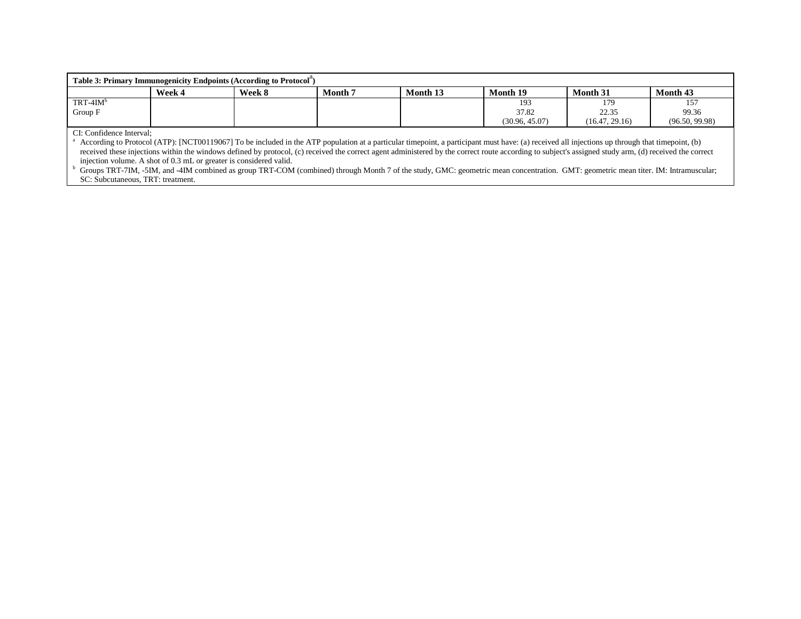| Table 3: Primary Immunogenicity Endpoints (According to Protocol) |        |        |                |          |                |                 |                |  |  |  |  |  |
|-------------------------------------------------------------------|--------|--------|----------------|----------|----------------|-----------------|----------------|--|--|--|--|--|
|                                                                   | Week 4 | Week 8 | <b>Month</b> 7 | Month 13 | Month 19       | <b>Month 31</b> | Month 43       |  |  |  |  |  |
| $TRT-4IM^b$                                                       |        |        |                |          | 193            | 179             | 157            |  |  |  |  |  |
| Group F                                                           |        |        |                |          | 37.82          | 22.35           | 99.36          |  |  |  |  |  |
|                                                                   |        |        |                |          | (30.96, 45.07) | (16.47, 29.16)  | (96.50, 99.98) |  |  |  |  |  |
|                                                                   |        |        |                |          |                |                 |                |  |  |  |  |  |

CI: Confidence Interval;

<sup>a</sup> According to Protocol (ATP): [NCT00119067] To be included in the ATP population at a particular timepoint, a participant must have: (a) received all injections up through that timepoint, (b) received these injections within the windows defined by protocol, (c) received the correct agent administered by the correct route according to subject's assigned study arm, (d) received the correct injection volume. A shot of 0.3 mL or greater is considered valid.

<sup>b</sup> Groups TRT-7IM, -5IM, and -4IM combined as group TRT-COM (combined) through Month 7 of the study, GMC: geometric mean concentration. GMT: geometric mean titer. IM: Intramuscular; SC: Subcutaneous, TRT: treatment.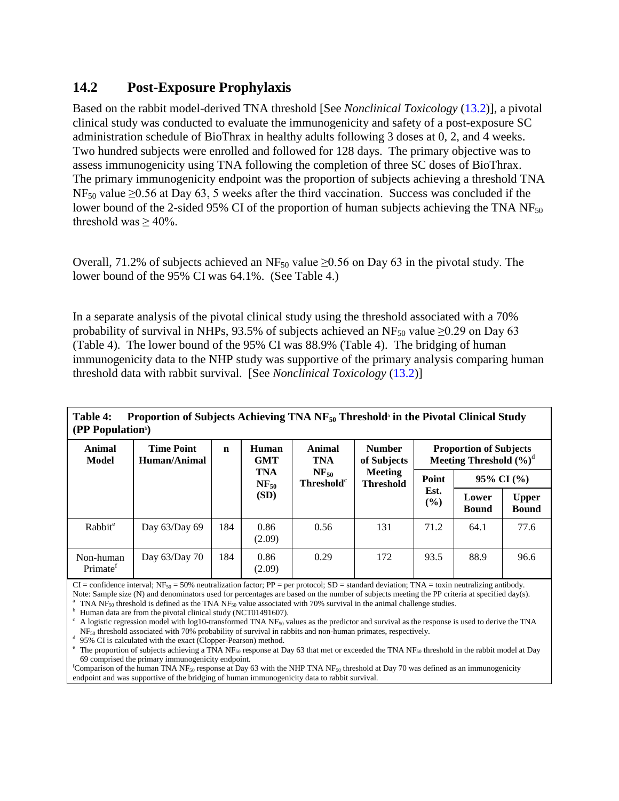# <span id="page-19-0"></span>**14.2 Post-Exposure Prophylaxis**

Based on the rabbit model-derived TNA threshold [See *Nonclinical Toxicology* [\(13.2\)](#page-13-0)], a pivotal clinical study was conducted to evaluate the immunogenicity and safety of a post-exposure SC administration schedule of BioThrax in healthy adults following 3 doses at 0, 2, and 4 weeks. Two hundred subjects were enrolled and followed for 128 days. The primary objective was to assess immunogenicity using TNA following the completion of three SC doses of BioThrax. The primary immunogenicity endpoint was the proportion of subjects achieving a threshold TNA  $NF_{50}$  value  $\geq 0.56$  at Day 63, 5 weeks after the third vaccination. Success was concluded if the lower bound of the 2-sided 95% CI of the proportion of human subjects achieving the TNA  $NF_{50}$ threshold was  $> 40\%$ .

Overall, 71.2% of subjects achieved an NF<sub>50</sub> value  $\geq$ 0.56 on Day 63 in the pivotal study. The lower bound of the 95% CI was 64.1%. (See [Table 4.](#page-19-1))

In a separate analysis of the pivotal clinical study using the threshold associated with a 70% probability of survival in NHPs, 93.5% of subjects achieved an NF<sub>50</sub> value  $\geq$ 0.29 on Day 63 [\(Table 4\)](#page-19-1). The lower bound of the 95% CI was 88.9% [\(Table 4\)](#page-19-1). The bridging of human immunogenicity data to the NHP study was supportive of the primary analysis comparing human threshold data with rabbit survival. [See *Nonclinical Toxicology* [\(13.2\)](#page-13-0)]

|                                   | (PP Population <sup>b</sup> )     |     |                         |                                                         |                                    |                                                             |                       |                              |  |  |  |  |  |
|-----------------------------------|-----------------------------------|-----|-------------------------|---------------------------------------------------------|------------------------------------|-------------------------------------------------------------|-----------------------|------------------------------|--|--|--|--|--|
| <b>Animal</b><br>Model            | <b>Time Point</b><br>Human/Animal | n   | Human<br><b>GMT</b>     | Animal<br><b>TNA</b>                                    | <b>Number</b><br>of Subjects       | <b>Proportion of Subjects</b><br>Meeting Threshold $(\%)^d$ |                       |                              |  |  |  |  |  |
|                                   |                                   |     | <b>TNA</b><br>$NF_{50}$ | $NF_{50}$<br><b>Threshold</b> <sup><math>c</math></sup> | <b>Meeting</b><br><b>Threshold</b> | Point                                                       | $95\%$ CI $(\%$       |                              |  |  |  |  |  |
|                                   |                                   |     | (SD)                    |                                                         |                                    | Est.<br>$\frac{6}{6}$                                       | Lower<br><b>Bound</b> | <b>Upper</b><br><b>Bound</b> |  |  |  |  |  |
| Rabbit <sup>e</sup>               | Day 63/Day 69                     | 184 | 0.86<br>(2.09)          | 0.56                                                    | 131                                | 71.2                                                        | 64.1                  | 77.6                         |  |  |  |  |  |
| Non-human<br>Primate <sup>f</sup> | Day $63/Day 70$                   | 184 | 0.86<br>(2.09)          | 0.29                                                    | 172                                | 93.5                                                        | 88.9                  | 96.6                         |  |  |  |  |  |

<span id="page-19-1"></span>Table 4: Proportion of Subjects Achieving TNA NF<sub>50</sub> Threshold<sup>a</sup> in the Pivotal Clinical Study

 $CI =$  confidence interval; NF<sub>50</sub> = 50% neutralization factor; PP = per protocol; SD = standard deviation; TNA = toxin neutralizing antibody. Note: Sample size (N) and denominators used for percentages are based on the number of subjects meeting the PP criteria at specified day(s).

<sup>a</sup> TNA NF<sub>50</sub> threshold is defined as the TNA NF<sub>50</sub> value associated with 70% survival in the animal challenge studies.<br><sup>b</sup> Human data are from the pivotal clinical study (NCT01491607).

 $\degree$  A logistic regression model with log10-transformed TNA NF<sub>50</sub> values as the predictor and survival as the response is used to derive the TNA  $\rm{NF_{50}}$  threshold associated with 70% probability of survival in rabbits and non-human primates, respectively. d 95% CI is calculated with the exact (Clopper-Pearson) method.

<sup>e</sup> The proportion of subjects achieving a TNA NF<sub>50</sub> response at Day 63 that met or exceeded the TNA NF<sub>50</sub> threshold in the rabbit model at Day 69 comprised the primary immunogenicity endpoint. <sup>f</sup>

<sup>f</sup>Comparison of the human TNA NF<sub>50</sub> response at Day 63 with the NHP TNA NF<sub>50</sub> threshold at Day 70 was defined as an immunogenicity endpoint and was supportive of the bridging of human immunogenicity data to rabbit survival.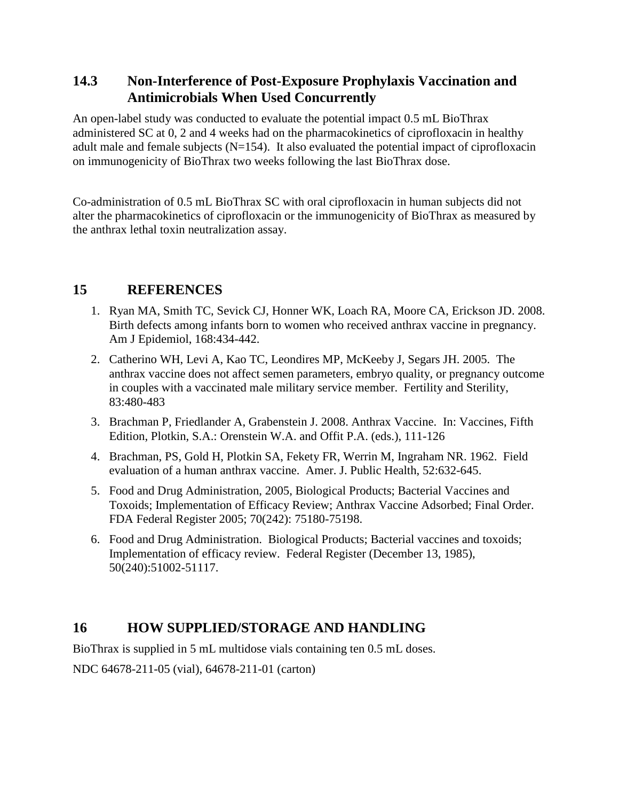### <span id="page-20-2"></span>**14.3 Non-Interference of Post-Exposure Prophylaxis Vaccination and Antimicrobials When Used Concurrently**

An open-label study was conducted to evaluate the potential impact 0.5 mL BioThrax administered SC at 0, 2 and 4 weeks had on the pharmacokinetics of ciprofloxacin in healthy adult male and female subjects  $(N=154)$ . It also evaluated the potential impact of ciprofloxacin on immunogenicity of BioThrax two weeks following the last BioThrax dose.

Co-administration of 0.5 mL BioThrax SC with oral ciprofloxacin in human subjects did not alter the pharmacokinetics of ciprofloxacin or the immunogenicity of BioThrax as measured by the anthrax lethal toxin neutralization assay.

### **15 REFERENCES**

- <span id="page-20-1"></span>1. Ryan MA, Smith TC, Sevick CJ, Honner WK, Loach RA, Moore CA, Erickson JD. 2008. Birth defects among infants born to women who received anthrax vaccine in pregnancy. Am J Epidemiol, 168:434-442.
- <span id="page-20-3"></span>2. Catherino WH, Levi A, Kao TC, Leondires MP, McKeeby J, Segars JH. 2005. The anthrax vaccine does not affect semen parameters, embryo quality, or pregnancy outcome in couples with a vaccinated male military service member. Fertility and Sterility, 83:480-483
- <span id="page-20-4"></span>3. Brachman P, Friedlander A, Grabenstein J. 2008. Anthrax Vaccine. In: Vaccines, Fifth Edition, Plotkin, S.A.: Orenstein W.A. and Offit P.A. (eds.), 111-126
- <span id="page-20-5"></span>4. Brachman, PS, Gold H, Plotkin SA, Fekety FR, Werrin M, Ingraham NR. 1962. Field evaluation of a human anthrax vaccine. Amer. J. Public Health, 52:632-645.
- <span id="page-20-6"></span>5. Food and Drug Administration, 2005, Biological Products; Bacterial Vaccines and Toxoids; Implementation of Efficacy Review; Anthrax Vaccine Adsorbed; Final Order. FDA Federal Register 2005; 70(242): 75180-75198.
- <span id="page-20-7"></span>6. Food and Drug Administration. Biological Products; Bacterial vaccines and toxoids; Implementation of efficacy review. Federal Register (December 13, 1985), 50(240):51002-51117.

# <span id="page-20-0"></span>**16 HOW SUPPLIED/STORAGE AND HANDLING**

BioThrax is supplied in 5 mL multidose vials containing ten 0.5 mL doses.

NDC 64678-211-05 (vial), 64678-211-01 (carton)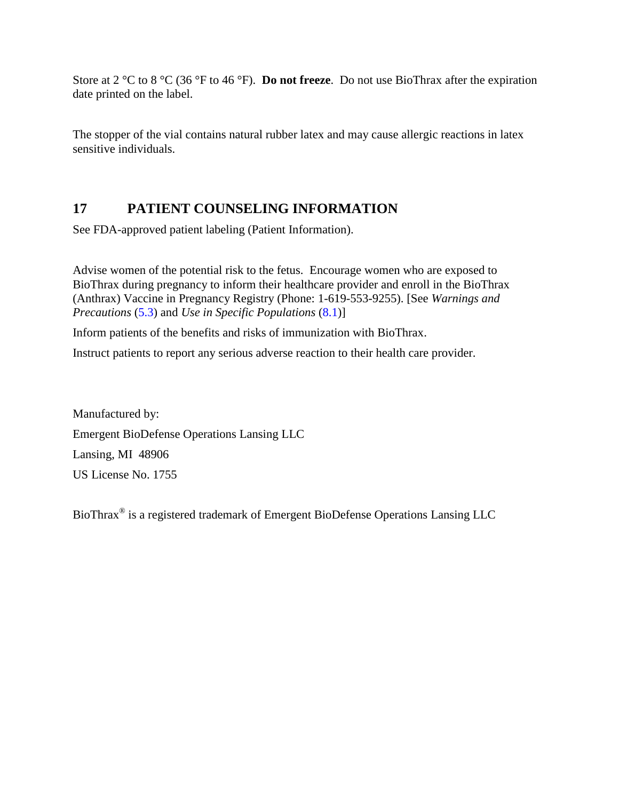Store at 2 °C to 8 °C (36 °F to 46 °F). **Do not freeze**. Do not use BioThrax after the expiration date printed on the label.

The stopper of the vial contains natural rubber latex and may cause allergic reactions in latex sensitive individuals.

# <span id="page-21-0"></span>**17 PATIENT COUNSELING INFORMATION**

See FDA-approved patient labeling (Patient Information).

Advise women of the potential risk to the fetus. Encourage women who are exposed to BioThrax during pregnancy to inform their healthcare provider and enroll in the BioThrax (Anthrax) Vaccine in Pregnancy Registry (Phone: 1-619-553-9255). [See *Warnings and Precautions* [\(5.3\)](#page-3-1) and *Use in Specific Populations* [\(8.1\)](#page-12-1)]

Inform patients of the benefits and risks of immunization with BioThrax.

Instruct patients to report any serious adverse reaction to their health care provider.

Manufactured by: Emergent BioDefense Operations Lansing LLC Lansing, MI 48906 US License No. 1755

BioThrax® is a registered trademark of Emergent BioDefense Operations Lansing LLC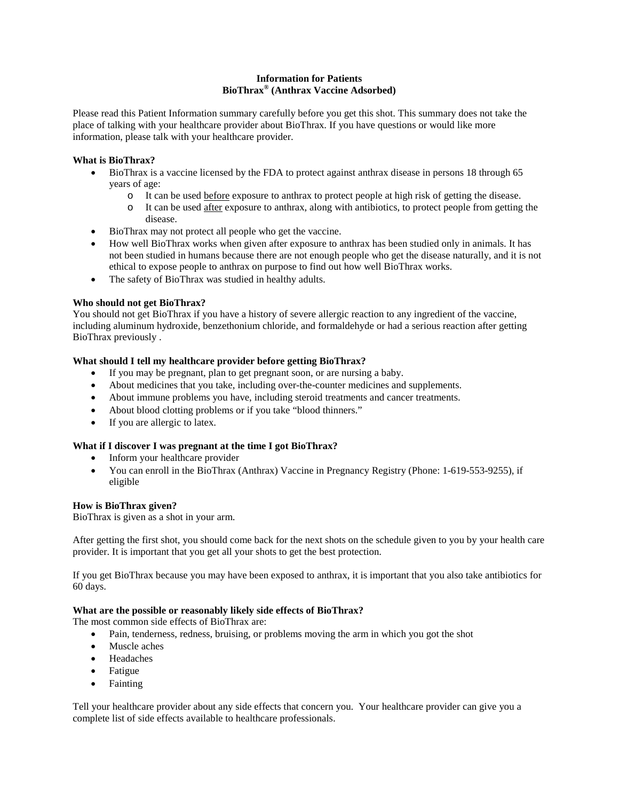#### **Information for Patients BioThrax® (Anthrax Vaccine Adsorbed)**

Please read this Patient Information summary carefully before you get this shot. This summary does not take the place of talking with your healthcare provider about BioThrax. If you have questions or would like more information, please talk with your healthcare provider.

#### **What is BioThrax?**

- BioThrax is a vaccine licensed by the FDA to protect against anthrax disease in persons 18 through 65 years of age:
	- o It can be used before exposure to anthrax to protect people at high risk of getting the disease.
		- o It can be used after exposure to anthrax, along with antibiotics, to protect people from getting the disease.
- BioThrax may not protect all people who get the vaccine.
- How well BioThrax works when given after exposure to anthrax has been studied only in animals. It has not been studied in humans because there are not enough people who get the disease naturally, and it is not ethical to expose people to anthrax on purpose to find out how well BioThrax works.
- The safety of BioThrax was studied in healthy adults.

#### **Who should not get BioThrax?**

You should not get BioThrax if you have a history of severe allergic reaction to any ingredient of the vaccine, including aluminum hydroxide, benzethonium chloride, and formaldehyde or had a serious reaction after getting BioThrax previously .

#### **What should I tell my healthcare provider before getting BioThrax?**

- If you may be pregnant, plan to get pregnant soon, or are nursing a baby.
- About medicines that you take, including over-the-counter medicines and supplements.
- About immune problems you have, including steroid treatments and cancer treatments.
- About blood clotting problems or if you take "blood thinners."
- If you are allergic to latex.

#### **What if I discover I was pregnant at the time I got BioThrax?**

- Inform your healthcare provider
- You can enroll in the BioThrax (Anthrax) Vaccine in Pregnancy Registry (Phone: 1-619-553-9255), if eligible

#### **How is BioThrax given?**

BioThrax is given as a shot in your arm.

After getting the first shot, you should come back for the next shots on the schedule given to you by your health care provider. It is important that you get all your shots to get the best protection.

If you get BioThrax because you may have been exposed to anthrax, it is important that you also take antibiotics for 60 days.

#### **What are the possible or reasonably likely side effects of BioThrax?**

The most common side effects of BioThrax are:

- Pain, tenderness, redness, bruising, or problems moving the arm in which you got the shot
- Muscle aches
- Headaches
- Fatigue
- Fainting

Tell your healthcare provider about any side effects that concern you. Your healthcare provider can give you a complete list of side effects available to healthcare professionals.